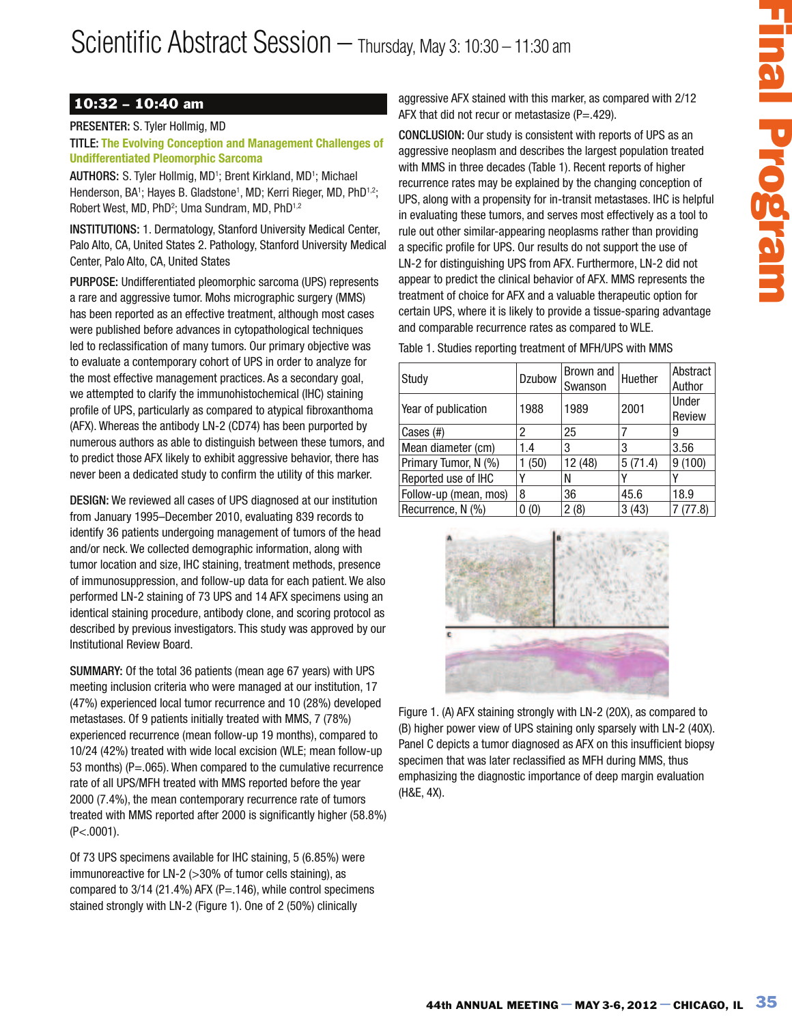## 10:32 – 10:40 am

PRESENTER: S. Tyler Hollmig, MD

TITLE: **The Evolving Conception and Management Challenges of Undifferentiated Pleomorphic Sarcoma**

AUTHORS: S. Tyler Hollmig, MD<sup>1</sup>; Brent Kirkland, MD<sup>1</sup>; Michael Henderson, BA<sup>1</sup>; Hayes B. Gladstone<sup>1</sup>, MD; Kerri Rieger, MD, PhD<sup>1,2</sup>; Robert West, MD, PhD<sup>2</sup>; Uma Sundram, MD, PhD<sup>1,2</sup>

INSTITUTIONS: 1. Dermatology, Stanford University Medical Center, Palo Alto, CA, United States 2. Pathology, Stanford University Medical Center, Palo Alto, CA, United States

PURPOSE: Undifferentiated pleomorphic sarcoma (UPS) represents a rare and aggressive tumor. Mohs micrographic surgery (MMS) has been reported as an effective treatment, although most cases were published before advances in cytopathological techniques led to reclassification of many tumors. Our primary objective was to evaluate a contemporary cohort of UPS in order to analyze for the most effective management practices. As a secondary goal, we attempted to clarify the immunohistochemical (IHC) staining profile of UPS, particularly as compared to atypical fibroxanthoma (AFX). Whereas the antibody LN-2 (CD74) has been purported by numerous authors as able to distinguish between these tumors, and to predict those AFX likely to exhibit aggressive behavior, there has never been a dedicated study to confirm the utility of this marker.

DESIGN: We reviewed all cases of UPS diagnosed at our institution from January 1995–December 2010, evaluating 839 records to identify 36 patients undergoing management of tumors of the head and/or neck. We collected demographic information, along with tumor location and size, IHC staining, treatment methods, presence of immunosuppression, and follow-up data for each patient. We also performed LN-2 staining of 73 UPS and 14 AFX specimens using an identical staining procedure, antibody clone, and scoring protocol as described by previous investigators. This study was approved by our Institutional Review Board.

SUMMARY: Of the total 36 patients (mean age 67 years) with UPS meeting inclusion criteria who were managed at our institution, 17 (47%) experienced local tumor recurrence and 10 (28%) developed metastases. Of 9 patients initially treated with MMS, 7 (78%) experienced recurrence (mean follow-up 19 months), compared to 10/24 (42%) treated with wide local excision (WLE; mean follow-up 53 months) (P=.065). When compared to the cumulative recurrence rate of all UPS/MFH treated with MMS reported before the year 2000 (7.4%), the mean contemporary recurrence rate of tumors treated with MMS reported after 2000 is significantly higher (58.8%) (P<.0001).

Of 73 UPS specimens available for IHC staining, 5 (6.85%) were immunoreactive for LN-2 (>30% of tumor cells staining), as compared to  $3/14$  (21.4%) AFX (P=.146), while control specimens stained strongly with LN-2 (Figure 1). One of 2 (50%) clinically

aggressive AFX stained with this marker, as compared with 2/12 AFX that did not recur or metastasize  $(P=.429)$ .

May 3: 10:30 - 11:30 am<br>
sive APX stained with this marker, as compared with 212<br>
using APX stained with theorem are acceled to large the 1212<br>
using APX stained with represent and the chief of the stained of the stained<br> CONCLUSION: Our study is consistent with reports of UPS as an aggressive neoplasm and describes the largest population treated with MMS in three decades (Table 1). Recent reports of higher recurrence rates may be explained by the changing conception of UPS, along with a propensity for in-transit metastases. IHC is helpful in evaluating these tumors, and serves most effectively as a tool to rule out other similar-appearing neoplasms rather than providing a specific profile for UPS. Our results do not support the use of LN-2 for distinguishing UPS from AFX. Furthermore, LN-2 did not appear to predict the clinical behavior of AFX. MMS represents the treatment of choice for AFX and a valuable therapeutic option for certain UPS, where it is likely to provide a tissue-sparing advantage and comparable recurrence rates as compared to WLE.

Table 1. Studies reporting treatment of MFH/UPS with MMS

| Study                 | Dzubow | Brown and<br>Swanson | Huether | Abstract<br>Author |
|-----------------------|--------|----------------------|---------|--------------------|
| Year of publication   | 1988   | 1989                 | 2001    | Under<br>Review    |
| Cases (#)             | 2      | 25                   |         | 9                  |
| Mean diameter (cm)    | 1.4    | 3                    | 3       | 3.56               |
| Primary Tumor, N (%)  | (50)   | 12 (48)              | 5(71.4) | 9(100)             |
| Reported use of IHC   |        | N                    |         |                    |
| Follow-up (mean, mos) | 8      | 36                   | 45.6    | 18.9               |
| Recurrence, N (%)     | 0(0)   | 2(8)                 | 3(43)   | (77.8)             |



Figure 1. (A) AFX staining strongly with LN-2 (20X), as compared to (B) higher power view of UPS staining only sparsely with LN-2 (40X). Panel C depicts a tumor diagnosed as AFX on this insufficient biopsy specimen that was later reclassified as MFH during MMS, thus emphasizing the diagnostic importance of deep margin evaluation (H&E, 4X).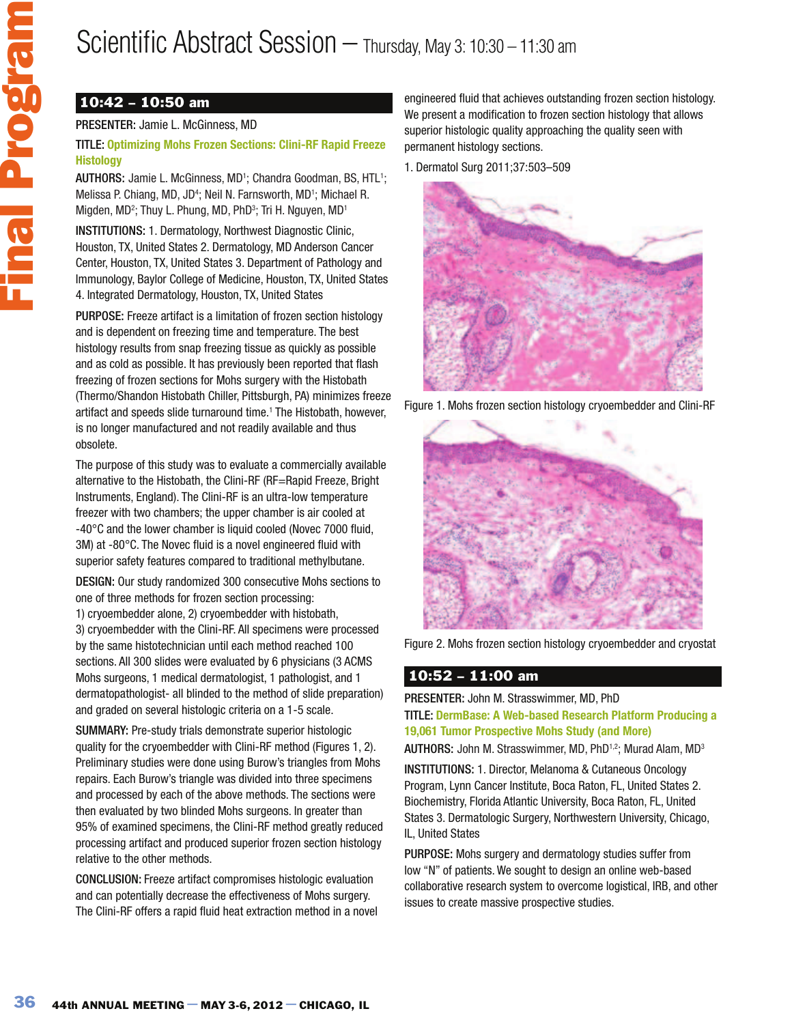## Scientific Abstract Session – Thursday, May 3: 10:30 – 11:30 am

## 10:42 – 10:50 am

#### PRESENTER: Jamie L. McGinness, MD

#### TITLE: **Optimizing Mohs Frozen Sections: Clini-RF Rapid Freeze Histology**

AUTHORS: Jamie L. McGinness, MD<sup>1</sup>; Chandra Goodman, BS, HTL<sup>1</sup>; Melissa P. Chiang, MD, JD<sup>4</sup>; Neil N. Farnsworth, MD<sup>1</sup>; Michael R. Migden, MD<sup>2</sup>; Thuy L. Phung, MD, PhD<sup>3</sup>; Tri H. Nguyen, MD<sup>1</sup>

INSTITUTIONS: 1. Dermatology, Northwest Diagnostic Clinic, Houston, TX, United States 2. Dermatology, MD Anderson Cancer Center, Houston, TX, United States 3. Department of Pathology and Immunology, Baylor College of Medicine, Houston, TX, United States 4. Integrated Dermatology, Houston, TX, United States

PURPOSE: Freeze artifact is a limitation of frozen section histology and is dependent on freezing time and temperature. The best histology results from snap freezing tissue as quickly as possible and as cold as possible. It has previously been reported that flash freezing of frozen sections for Mohs surgery with the Histobath (Thermo/Shandon Histobath Chiller, Pittsburgh, PA) minimizes freeze artifact and speeds slide turnaround time.<sup>1</sup> The Histobath, however, is no longer manufactured and not readily available and thus obsolete.

The purpose of this study was to evaluate a commercially available alternative to the Histobath, the Clini-RF (RF=Rapid Freeze, Bright Instruments, England). The Clini-RF is an ultra-low temperature freezer with two chambers; the upper chamber is air cooled at -40°C and the lower chamber is liquid cooled (Novec 7000 fluid, 3M) at -80°C. The Novec fluid is a novel engineered fluid with superior safety features compared to traditional methylbutane.

DESIGN: Our study randomized 300 consecutive Mohs sections to one of three methods for frozen section processing: 1) cryoembedder alone, 2) cryoembedder with histobath, 3) cryoembedder with the Clini-RF. All specimens were processed by the same histotechnician until each method reached 100 sections. All 300 slides were evaluated by 6 physicians (3 ACMS Mohs surgeons, 1 medical dermatologist, 1 pathologist, and 1 dermatopathologist- all blinded to the method of slide preparation) and graded on several histologic criteria on a 1-5 scale.

SUMMARY: Pre-study trials demonstrate superior histologic quality for the cryoembedder with Clini-RF method (Figures 1, 2). Preliminary studies were done using Burow's triangles from Mohs repairs. Each Burow's triangle was divided into three specimens and processed by each of the above methods. The sections were then evaluated by two blinded Mohs surgeons. In greater than 95% of examined specimens, the Clini-RF method greatly reduced processing artifact and produced superior frozen section histology relative to the other methods.

CONCLUSION: Freeze artifact compromises histologic evaluation and can potentially decrease the effectiveness of Mohs surgery. The Clini-RF offers a rapid fluid heat extraction method in a novel engineered fluid that achieves outstanding frozen section histology. We present a modification to frozen section histology that allows superior histologic quality approaching the quality seen with permanent histology sections.

1. Dermatol Surg 2011;37:503–509



Figure 1. Mohs frozen section histology cryoembedder and Clini-RF



Figure 2. Mohs frozen section histology cryoembedder and cryostat

### 10:52 – 11:00 am

PRESENTER: John M. Strasswimmer, MD, PhD TITLE: **DermBase: A Web-based Research Platform Producing a 19,061 Tumor Prospective Mohs Study (and More)**

AUTHORS: John M. Strasswimmer, MD, PhD<sup>1,2</sup>; Murad Alam, MD<sup>3</sup>

INSTITUTIONS: 1. Director, Melanoma & Cutaneous Oncology Program, Lynn Cancer Institute, Boca Raton, FL, United States 2. Biochemistry, Florida Atlantic University, Boca Raton, FL, United States 3. Dermatologic Surgery, Northwestern University, Chicago, IL, United States

PURPOSE: Mohs surgery and dermatology studies suffer from low "N" of patients. We sought to design an online web-based collaborative research system to overcome logistical, IRB, and other issues to create massive prospective studies.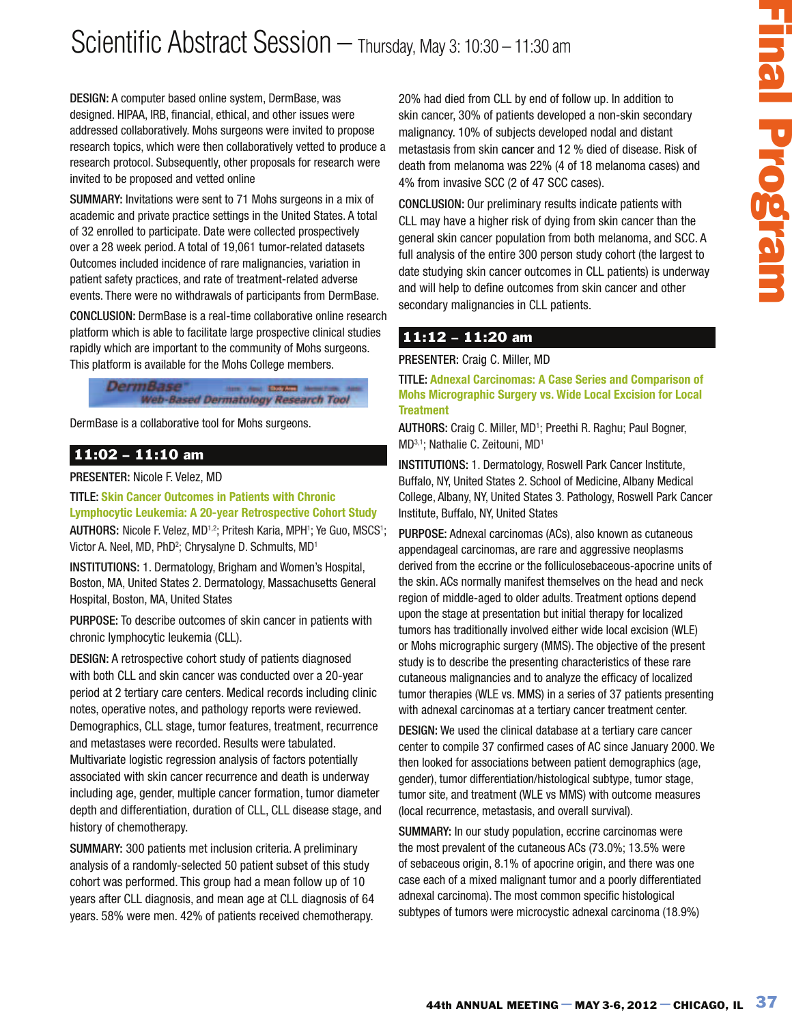## Scientific Abstract Session - Thursday, May 3: 10:30 - 11:30 am

DESIGN: A computer based online system, DermBase, was designed. HIPAA, IRB, financial, ethical, and other issues were addressed collaboratively. Mohs surgeons were invited to propose research topics, which were then collaboratively vetted to produce a research protocol. Subsequently, other proposals for research were invited to be proposed and vetted online

SUMMARY: Invitations were sent to 71 Mohs surgeons in a mix of academic and private practice settings in the United States. A total of 32 enrolled to participate. Date were collected prospectively over a 28 week period. A total of 19,061 tumor-related datasets Outcomes included incidence of rare malignancies, variation in patient safety practices, and rate of treatment-related adverse events. There were no withdrawals of participants from DermBase.

CONCLUSION: DermBase is a real-time collaborative online research platform which is able to facilitate large prospective clinical studies rapidly which are important to the community of Mohs surgeons. This platform is available for the Mohs College members.



DermBase is a collaborative tool for Mohs surgeons.

### 11:02 – 11:10 am

PRESENTER: Nicole F. Velez, MD

TITLE: **Skin Cancer Outcomes in Patients with Chronic Lymphocytic Leukemia: A 20-year Retrospective Cohort Study** 

AUTHORS: Nicole F. Velez, MD<sup>1,2</sup>; Pritesh Karia, MPH<sup>1</sup>; Ye Guo, MSCS<sup>1</sup>; Victor A. Neel, MD, PhD<sup>2</sup>; Chrysalyne D. Schmults, MD<sup>1</sup>

INSTITUTIONS: 1. Dermatology, Brigham and Women's Hospital, Boston, MA, United States 2. Dermatology, Massachusetts General Hospital, Boston, MA, United States

PURPOSE: To describe outcomes of skin cancer in patients with chronic lymphocytic leukemia (CLL).

DESIGN: A retrospective cohort study of patients diagnosed with both CLL and skin cancer was conducted over a 20-year period at 2 tertiary care centers. Medical records including clinic notes, operative notes, and pathology reports were reviewed. Demographics, CLL stage, tumor features, treatment, recurrence and metastases were recorded. Results were tabulated. Multivariate logistic regression analysis of factors potentially associated with skin cancer recurrence and death is underway including age, gender, multiple cancer formation, tumor diameter depth and differentiation, duration of CLL, CLL disease stage, and history of chemotherapy.

SUMMARY: 300 patients met inclusion criteria. A preliminary analysis of a randomly-selected 50 patient subset of this study cohort was performed. This group had a mean follow up of 10 years after CLL diagnosis, and mean age at CLL diagnosis of 64 years. 58% were men. 42% of patients received chemotherapy. 20% had died from CLL by end of follow up. In addition to skin cancer, 30% of patients developed a non-skin secondary malignancy. 10% of subjects developed nodal and distant metastasis from skin cancer and 12 % died of disease. Risk of death from melanoma was 22% (4 of 18 melanoma cases) and 4% from invasive SCC (2 of 47 SCC cases).

CONCLUSION: Our preliminary results indicate patients with CLL may have a higher risk of dying from skin cancer than the general skin cancer population from both melanoma, and SCC. A full analysis of the entire 300 person study cohort (the largest to date studying skin cancer outcomes in CLL patients) is underway and will help to define outcomes from skin cancer and other secondary malignancies in CLL patients.

### 11:12 – 11:20 am

PRESENTER: Craig C. Miller, MD

TITLE: **Adnexal Carcinomas: A Case Series and Comparison of Mohs Micrographic Surgery vs. Wide Local Excision for Local Treatment**

AUTHORS: Craig C. Miller, MD<sup>1</sup>; Preethi R. Raghu; Paul Bogner, MD3,1; Nathalie C. Zeitouni, MD<sup>1</sup>

INSTITUTIONS: 1. Dermatology, Roswell Park Cancer Institute, Buffalo, NY, United States 2. School of Medicine, Albany Medical College, Albany, NY, United States 3. Pathology, Roswell Park Cancer Institute, Buffalo, NY, United States

May 3: 10:30 - 11:30 am<br>
and died from CLL by end of follow up. In addition to<br>
annot, 30% of patients developed a non-skin ascondary<br>
membersion was 22%, 64 of 16 cm metallicants and diesare. Rest of<br>
from membersion was PURPOSE: Adnexal carcinomas (ACs), also known as cutaneous appendageal carcinomas, are rare and aggressive neoplasms derived from the eccrine or the folliculosebaceous-apocrine units of the skin. ACs normally manifest themselves on the head and neck region of middle-aged to older adults. Treatment options depend upon the stage at presentation but initial therapy for localized tumors has traditionally involved either wide local excision (WLE) or Mohs micrographic surgery (MMS). The objective of the present study is to describe the presenting characteristics of these rare cutaneous malignancies and to analyze the efficacy of localized tumor therapies (WLE vs. MMS) in a series of 37 patients presenting with adnexal carcinomas at a tertiary cancer treatment center.

DESIGN: We used the clinical database at a tertiary care cancer center to compile 37 confirmed cases of AC since January 2000. We then looked for associations between patient demographics (age, gender), tumor differentiation/histological subtype, tumor stage, tumor site, and treatment (WLE vs MMS) with outcome measures (local recurrence, metastasis, and overall survival).

SUMMARY: In our study population, eccrine carcinomas were the most prevalent of the cutaneous ACs (73.0%; 13.5% were of sebaceous origin, 8.1% of apocrine origin, and there was one case each of a mixed malignant tumor and a poorly differentiated adnexal carcinoma). The most common specific histological subtypes of tumors were microcystic adnexal carcinoma (18.9%)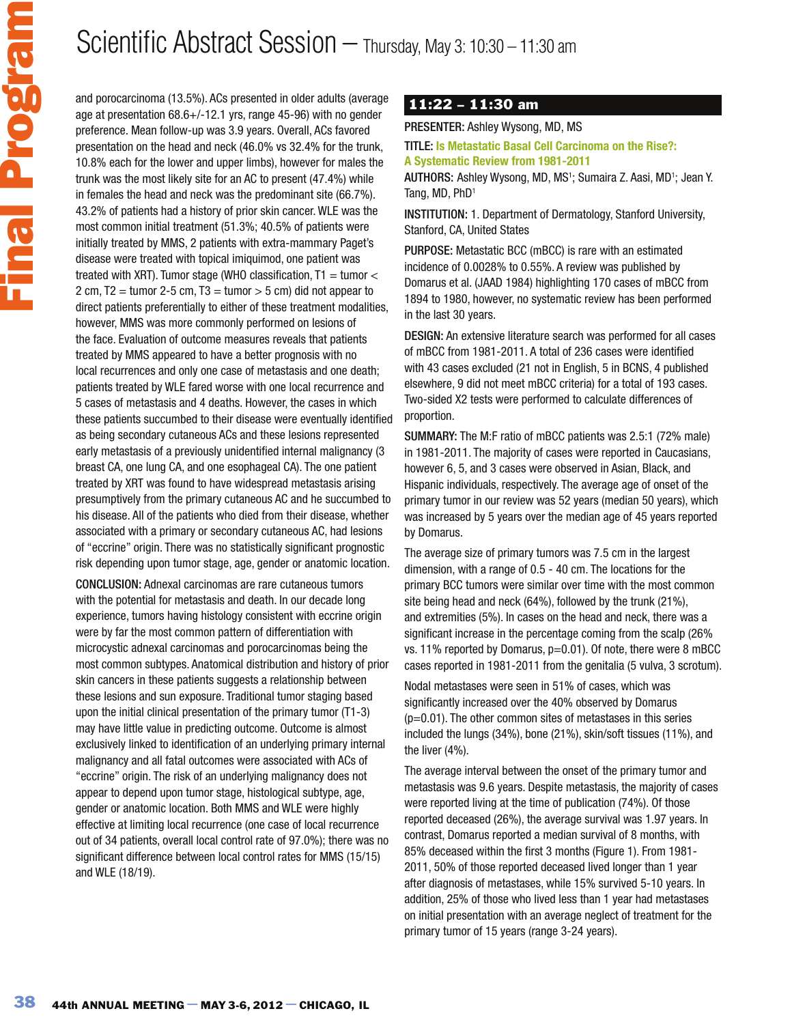# Scientific Abstract Session – Thursday, May 3: 10:30 – 11:30 am

and porocarcinoma (13.5%). ACs presented in older adults (average age at presentation 68.6+/-12.1 yrs, range 45-96) with no gender preference. Mean follow-up was 3.9 years. Overall, ACs favored presentation on the head and neck (46.0% vs 32.4% for the trunk, 10.8% each for the lower and upper limbs), however for males the trunk was the most likely site for an AC to present (47.4%) while in females the head and neck was the predominant site (66.7%). 43.2% of patients had a history of prior skin cancer. WLE was the most common initial treatment (51.3%; 40.5% of patients were initially treated by MMS, 2 patients with extra-mammary Paget's disease were treated with topical imiquimod, one patient was treated with XRT). Tumor stage (WHO classification,  $T1 =$  tumor  $<$ 2 cm, T2 = tumor 2-5 cm, T3 = tumor  $>$  5 cm) did not appear to direct patients preferentially to either of these treatment modalities, however, MMS was more commonly performed on lesions of the face. Evaluation of outcome measures reveals that patients treated by MMS appeared to have a better prognosis with no local recurrences and only one case of metastasis and one death; patients treated by WLE fared worse with one local recurrence and 5 cases of metastasis and 4 deaths. However, the cases in which these patients succumbed to their disease were eventually identified as being secondary cutaneous ACs and these lesions represented early metastasis of a previously unidentified internal malignancy (3 breast CA, one lung CA, and one esophageal CA). The one patient treated by XRT was found to have widespread metastasis arising presumptively from the primary cutaneous AC and he succumbed to his disease. All of the patients who died from their disease, whether associated with a primary or secondary cutaneous AC, had lesions of "eccrine" origin. There was no statistically significant prognostic risk depending upon tumor stage, age, gender or anatomic location.

CONCLUSION: Adnexal carcinomas are rare cutaneous tumors with the potential for metastasis and death. In our decade long experience, tumors having histology consistent with eccrine origin were by far the most common pattern of differentiation with microcystic adnexal carcinomas and porocarcinomas being the most common subtypes. Anatomical distribution and history of prior skin cancers in these patients suggests a relationship between these lesions and sun exposure. Traditional tumor staging based upon the initial clinical presentation of the primary tumor (T1-3) may have little value in predicting outcome. Outcome is almost exclusively linked to identification of an underlying primary internal malignancy and all fatal outcomes were associated with ACs of "eccrine" origin. The risk of an underlying malignancy does not appear to depend upon tumor stage, histological subtype, age, gender or anatomic location. Both MMS and WLE were highly effective at limiting local recurrence (one case of local recurrence out of 34 patients, overall local control rate of 97.0%); there was no significant difference between local control rates for MMS (15/15) and WLE (18/19).

### 11:22 – 11:30 am

PRESENTER: Ashley Wysong, MD, MS

TITLE: **Is Metastatic Basal Cell Carcinoma on the Rise?: A Systematic Review from 1981-2011**

AUTHORS: Ashley Wysong, MD, MS<sup>1</sup>; Sumaira Z. Aasi, MD<sup>1</sup>; Jean Y. Tang, MD, PhD<sup>1</sup>

INSTITUTION: 1. Department of Dermatology, Stanford University, Stanford, CA, United States

PURPOSE: Metastatic BCC (mBCC) is rare with an estimated incidence of 0.0028% to 0.55%. A review was published by Domarus et al. (JAAD 1984) highlighting 170 cases of mBCC from 1894 to 1980, however, no systematic review has been performed in the last 30 years.

DESIGN: An extensive literature search was performed for all cases of mBCC from 1981-2011. A total of 236 cases were identified with 43 cases excluded (21 not in English, 5 in BCNS, 4 published elsewhere, 9 did not meet mBCC criteria) for a total of 193 cases. Two-sided X2 tests were performed to calculate differences of proportion.

SUMMARY: The M:F ratio of mBCC patients was 2.5:1 (72% male) in 1981-2011. The majority of cases were reported in Caucasians, however 6, 5, and 3 cases were observed in Asian, Black, and Hispanic individuals, respectively. The average age of onset of the primary tumor in our review was 52 years (median 50 years), which was increased by 5 years over the median age of 45 years reported by Domarus.

The average size of primary tumors was 7.5 cm in the largest dimension, with a range of 0.5 - 40 cm. The locations for the primary BCC tumors were similar over time with the most common site being head and neck (64%), followed by the trunk (21%), and extremities (5%). In cases on the head and neck, there was a significant increase in the percentage coming from the scalp (26% vs. 11% reported by Domarus, p=0.01). Of note, there were 8 mBCC cases reported in 1981-2011 from the genitalia (5 vulva, 3 scrotum).

Nodal metastases were seen in 51% of cases, which was significantly increased over the 40% observed by Domarus  $(p=0.01)$ . The other common sites of metastases in this series included the lungs (34%), bone (21%), skin/soft tissues (11%), and the liver (4%).

The average interval between the onset of the primary tumor and metastasis was 9.6 years. Despite metastasis, the majority of cases were reported living at the time of publication (74%). Of those reported deceased (26%), the average survival was 1.97 years. In contrast, Domarus reported a median survival of 8 months, with 85% deceased within the first 3 months (Figure 1). From 1981- 2011, 50% of those reported deceased lived longer than 1 year after diagnosis of metastases, while 15% survived 5-10 years. In addition, 25% of those who lived less than 1 year had metastases on initial presentation with an average neglect of treatment for the primary tumor of 15 years (range 3-24 years).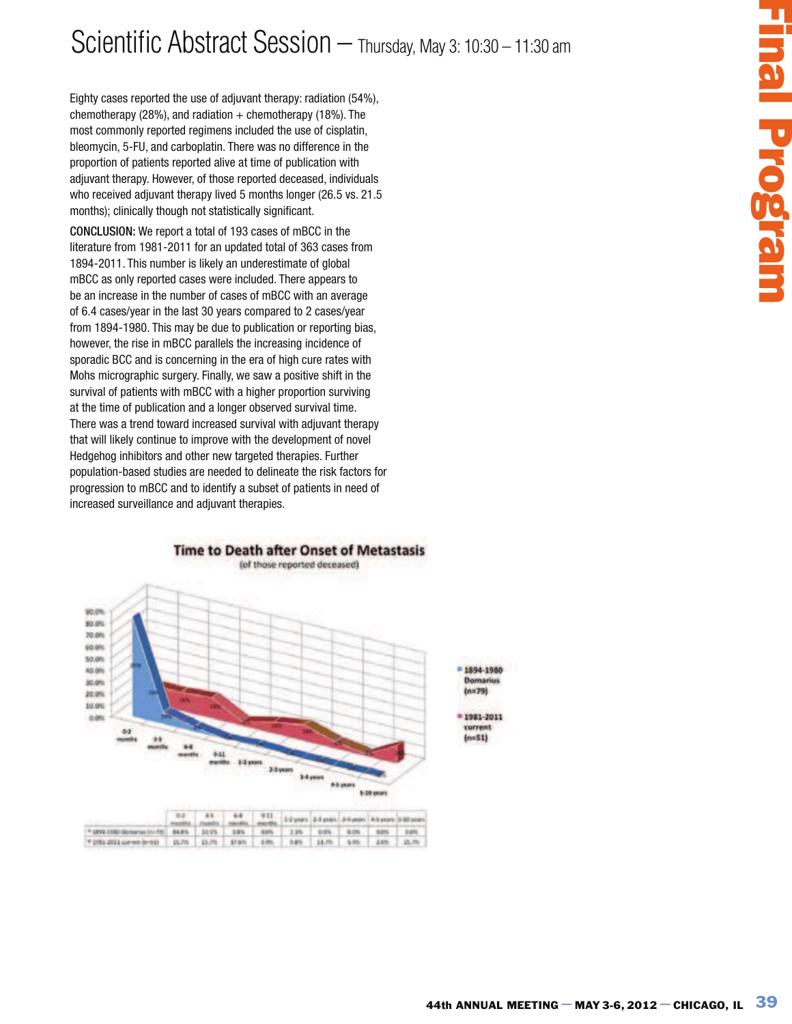# Scientific Abstract Session – Thursday, May 3: 10:30 – 11:30 am

Eighty cases reported the use of adjuvant therapy: radiation (54%), chemotherapy (28%), and radiation  $+$  chemotherapy (18%). The most commonly reported regimens included the use of cisplatin, bleomycin, 5-FU, and carboplatin. There was no difference in the proportion of patients reported alive at time of publication with adjuvant therapy. However, of those reported deceased, individuals who received adjuvant therapy lived 5 months longer (26.5 vs. 21.5 months); clinically though not statistically significant.

CONCLUSION: We report a total of 193 cases of mBCC in the literature from 1981-2011 for an updated total of 363 cases from 1894-2011. This number is likely an underestimate of global mBCC as only reported cases were included. There appears to be an increase in the number of cases of mBCC with an average of 6.4 cases/year in the last 30 years compared to 2 cases/year from 1894-1980. This may be due to publication or reporting bias, however, the rise in mBCC parallels the increasing incidence of sporadic BCC and is concerning in the era of high cure rates with Mohs micrographic surgery. Finally, we saw a positive shift in the survival of patients with mBCC with a higher proportion surviving at the time of publication and a longer observed survival time. There was a trend toward increased survival with adjuvant therapy that will likely continue to improve with the development of novel Hedgehog inhibitors and other new targeted therapies. Further population-based studies are needed to delineate the risk factors for progression to mBCC and to identify a subset of patients in need of increased surveillance and adjuvant therapies.



|                                                                                                 |  |  | 0.2 54 68 911 1-2 years 2-3 years 3-4 years 6-5 years 5-10 year |  |  |
|-------------------------------------------------------------------------------------------------|--|--|-----------------------------------------------------------------|--|--|
| [*1898-2980 Opmarisol/HST] 84.8%   201%   3.8%   0.0%   2.3%   0.0%   0.0%   0.0%   0.0%   0.0% |  |  |                                                                 |  |  |
| [*1991-2011 carent (mds)   15,7%   15,7%   17,6%   17,6%   18,7%   18,7%   20%   20%   15,7%    |  |  |                                                                 |  |  |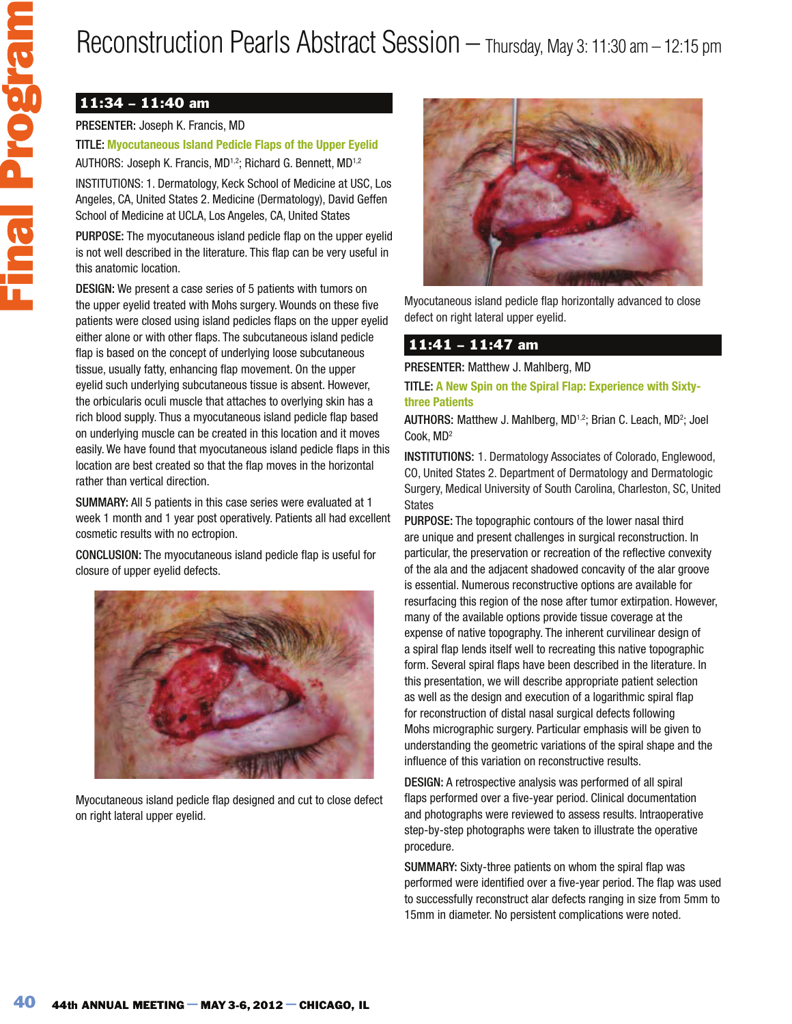# Reconstruction Pearls Abstract Session – Thursday, May 3: 11:30 am – 12:15 pm

## 11:34 – 11:40 am

### PRESENTER: Joseph K. Francis, MD

TITLE: **Myocutaneous Island Pedicle Flaps of the Upper Eyelid**  AUTHORS: Joseph K. Francis, MD<sup>1,2</sup>; Richard G. Bennett, MD<sup>1,2</sup>

INSTITUTIONS: 1. Dermatology, Keck School of Medicine at USC, Los Angeles, CA, United States 2. Medicine (Dermatology), David Geffen School of Medicine at UCLA, Los Angeles, CA, United States

PURPOSE: The myocutaneous island pedicle flap on the upper eyelid is not well described in the literature. This flap can be very useful in this anatomic location.

DESIGN: We present a case series of 5 patients with tumors on the upper eyelid treated with Mohs surgery. Wounds on these five patients were closed using island pedicles flaps on the upper eyelid either alone or with other flaps. The subcutaneous island pedicle flap is based on the concept of underlying loose subcutaneous tissue, usually fatty, enhancing flap movement. On the upper eyelid such underlying subcutaneous tissue is absent. However, the orbicularis oculi muscle that attaches to overlying skin has a rich blood supply. Thus a myocutaneous island pedicle flap based on underlying muscle can be created in this location and it moves easily. We have found that myocutaneous island pedicle flaps in this location are best created so that the flap moves in the horizontal rather than vertical direction.

SUMMARY: All 5 patients in this case series were evaluated at 1 week 1 month and 1 year post operatively. Patients all had excellent cosmetic results with no ectropion.

CONCLUSION: The myocutaneous island pedicle flap is useful for closure of upper eyelid defects.



Myocutaneous island pedicle flap designed and cut to close defect on right lateral upper eyelid.



Myocutaneous island pedicle flap horizontally advanced to close defect on right lateral upper eyelid.

### 11:41 – 11:47 am

PRESENTER: Matthew J. Mahlberg, MD

TITLE: **A New Spin on the Spiral Flap: Experience with Sixtythree Patients**

AUTHORS: Matthew J. Mahlberg, MD<sup>1,2</sup>; Brian C. Leach, MD<sup>2</sup>; Joel Cook, MD<sup>2</sup>

INSTITUTIONS: 1. Dermatology Associates of Colorado, Englewood, CO, United States 2. Department of Dermatology and Dermatologic Surgery, Medical University of South Carolina, Charleston, SC, United **States** 

PURPOSE: The topographic contours of the lower nasal third are unique and present challenges in surgical reconstruction. In particular, the preservation or recreation of the reflective convexity of the ala and the adjacent shadowed concavity of the alar groove is essential. Numerous reconstructive options are available for resurfacing this region of the nose after tumor extirpation. However, many of the available options provide tissue coverage at the expense of native topography. The inherent curvilinear design of a spiral flap lends itself well to recreating this native topographic form. Several spiral flaps have been described in the literature. In this presentation, we will describe appropriate patient selection as well as the design and execution of a logarithmic spiral flap for reconstruction of distal nasal surgical defects following Mohs micrographic surgery. Particular emphasis will be given to understanding the geometric variations of the spiral shape and the influence of this variation on reconstructive results.

DESIGN: A retrospective analysis was performed of all spiral flaps performed over a five-year period. Clinical documentation and photographs were reviewed to assess results. Intraoperative step-by-step photographs were taken to illustrate the operative procedure.

SUMMARY: Sixty-three patients on whom the spiral flap was performed were identified over a five-year period. The flap was used to successfully reconstruct alar defects ranging in size from 5mm to 15mm in diameter. No persistent complications were noted.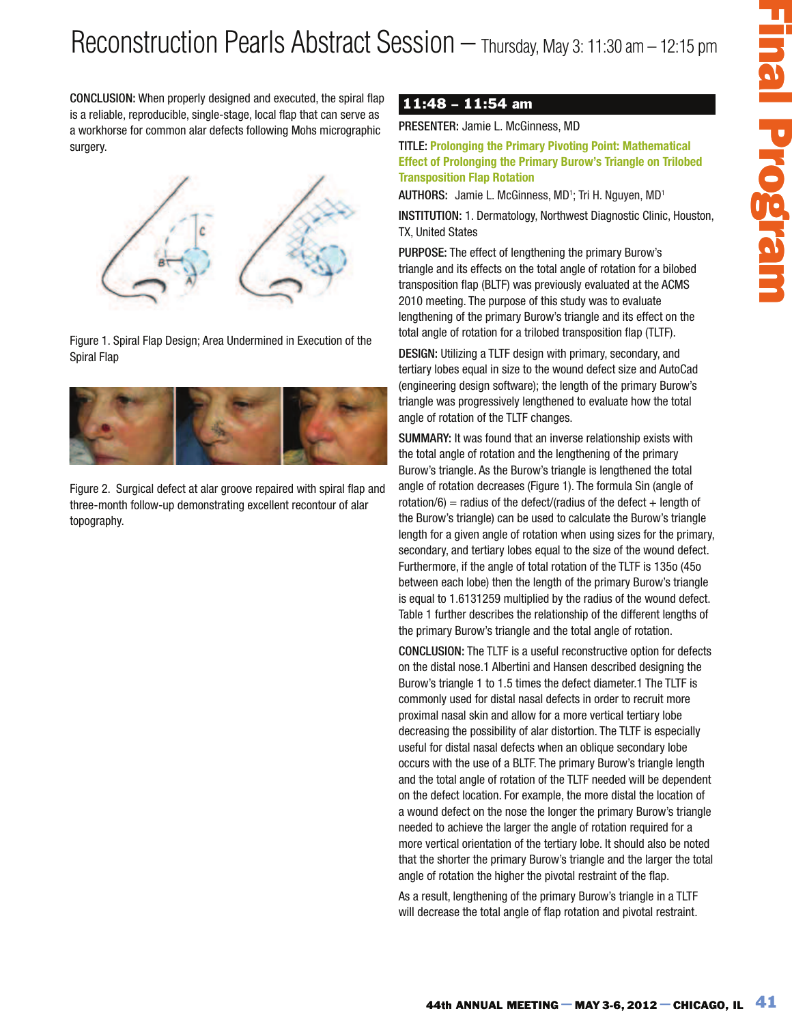CONCLUSION: When properly designed and executed, the spiral flap is a reliable, reproducible, single-stage, local flap that can serve as a workhorse for common alar defects following Mohs micrographic surgery.



Figure 1. Spiral Flap Design; Area Undermined in Execution of the Spiral Flap



Figure 2. Surgical defect at alar groove repaired with spiral flap and three-month follow-up demonstrating excellent recontour of alar topography.

## 11:48 – 11:54 am

PRESENTER: Jamie L. McGinness, MD

TITLE: **Prolonging the Primary Pivoting Point: Mathematical Effect of Prolonging the Primary Burow's Triangle on Trilobed Transposition Flap Rotation**

AUTHORS: Jamie L. McGinness, MD<sup>1</sup>; Tri H. Nguyen, MD<sup>1</sup>

INSTITUTION: 1. Dermatology, Northwest Diagnostic Clinic, Houston, TX, United States

PURPOSE: The effect of lengthening the primary Burow's triangle and its effects on the total angle of rotation for a bilobed transposition flap (BLTF) was previously evaluated at the ACMS 2010 meeting. The purpose of this study was to evaluate lengthening of the primary Burow's triangle and its effect on the total angle of rotation for a trilobed transposition flap (TLTF).

DESIGN: Utilizing a TLTF design with primary, secondary, and tertiary lobes equal in size to the wound defect size and AutoCad (engineering design software); the length of the primary Burow's triangle was progressively lengthened to evaluate how the total angle of rotation of the TLTF changes.

SUMMARY: It was found that an inverse relationship exists with the total angle of rotation and the lengthening of the primary Burow's triangle. As the Burow's triangle is lengthened the total angle of rotation decreases (Figure 1). The formula Sin (angle of rotation/6) = radius of the defect/(radius of the defect  $+$  length of the Burow's triangle) can be used to calculate the Burow's triangle length for a given angle of rotation when using sizes for the primary, secondary, and tertiary lobes equal to the size of the wound defect. Furthermore, if the angle of total rotation of the TLTF is 135o (45o between each lobe) then the length of the primary Burow's triangle is equal to 1.6131259 multiplied by the radius of the wound defect. Table 1 further describes the relationship of the different lengths of the primary Burow's triangle and the total angle of rotation.

10 Of the TITLE-15 (the Timescape of the Timescape of the Timescape of the Timescape of the Chicago and the Chicago and the Chicago and the Chicago and the Chicago and the Chicago and the Chicago and the Chicago and the Ch CONCLUSION: The TLTF is a useful reconstructive option for defects on the distal nose.1 Albertini and Hansen described designing the Burow's triangle 1 to 1.5 times the defect diameter.1 The TLTF is commonly used for distal nasal defects in order to recruit more proximal nasal skin and allow for a more vertical tertiary lobe decreasing the possibility of alar distortion. The TLTF is especially useful for distal nasal defects when an oblique secondary lobe occurs with the use of a BLTF. The primary Burow's triangle length and the total angle of rotation of the TLTF needed will be dependent on the defect location. For example, the more distal the location of a wound defect on the nose the longer the primary Burow's triangle needed to achieve the larger the angle of rotation required for a more vertical orientation of the tertiary lobe. It should also be noted that the shorter the primary Burow's triangle and the larger the total angle of rotation the higher the pivotal restraint of the flap.

As a result, lengthening of the primary Burow's triangle in a TLTF will decrease the total angle of flap rotation and pivotal restraint.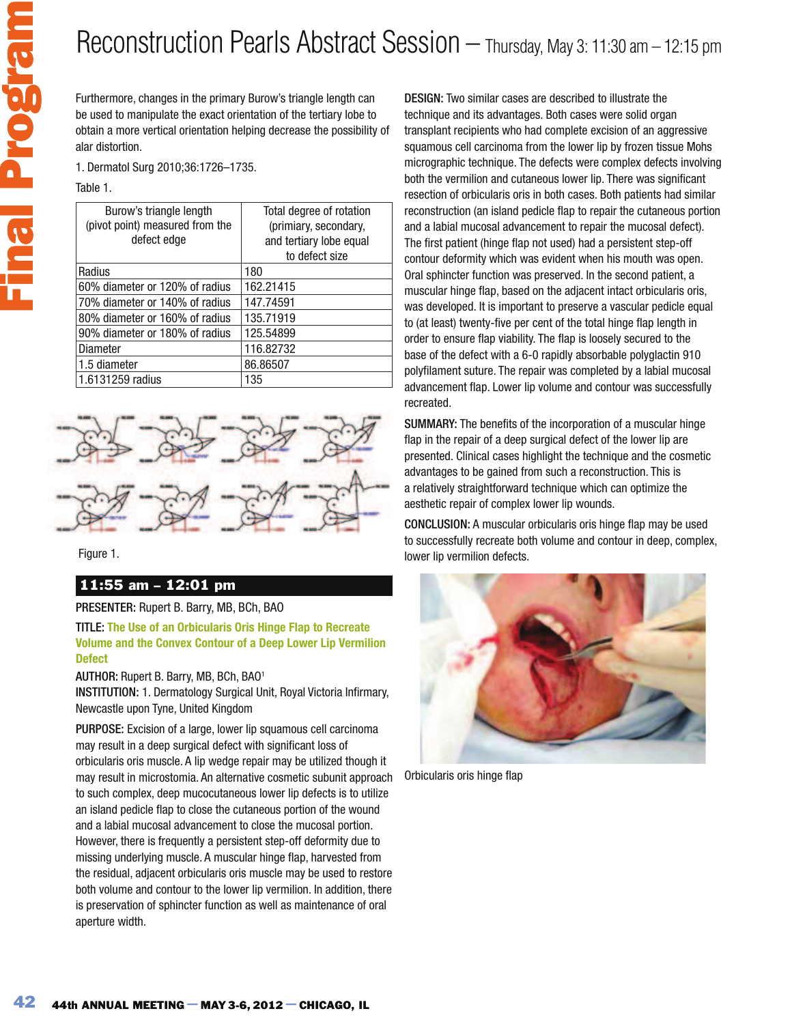

# Reconstruction Pearls Abstract Session – Thursday, May 3: 11:30 am – 12:15 pm

Furthermore, changes in the primary Burow's triangle length can be used to manipulate the exact orientation of the tertiary lobe to obtain a more vertical orientation helping decrease the possibility of alar distortion.

1. Dermatol Surg 2010;36:1726–1735.

Table 1.

| Burow's triangle length<br>(pivot point) measured from the<br>defect edge | Total degree of rotation<br>(primiary, secondary,<br>and tertiary lobe equal<br>to defect size |
|---------------------------------------------------------------------------|------------------------------------------------------------------------------------------------|
| Radius                                                                    | 180                                                                                            |
| 60% diameter or 120% of radius                                            | 162.21415                                                                                      |
| 70% diameter or 140% of radius                                            | 147.74591                                                                                      |
| 80% diameter or 160% of radius                                            | 135.71919                                                                                      |
| 90% diameter or 180% of radius                                            | 125.54899                                                                                      |
| Diameter                                                                  | 116.82732                                                                                      |
| 1.5 diameter                                                              | 86.86507                                                                                       |
| 1.6131259 radius                                                          | 135                                                                                            |



Figure 1.

### 11:55 am – 12:01 pm

#### PRESENTER: Rupert B. Barry, MB, BCh, BAO

TITLE: **The Use of an Orbicularis Oris Hinge Flap to Recreate Volume and the Convex Contour of a Deep Lower Lip Vermilion Defect**

#### AUTHOR: Rupert B. Barry, MB, BCh, BAO<sup>1</sup>

INSTITUTION: 1. Dermatology Surgical Unit, Royal Victoria Infirmary, Newcastle upon Tyne, United Kingdom

PURPOSE: Excision of a large, lower lip squamous cell carcinoma may result in a deep surgical defect with significant loss of orbicularis oris muscle. A lip wedge repair may be utilized though it may result in microstomia. An alternative cosmetic subunit approach to such complex, deep mucocutaneous lower lip defects is to utilize an island pedicle flap to close the cutaneous portion of the wound and a labial mucosal advancement to close the mucosal portion. However, there is frequently a persistent step-off deformity due to missing underlying muscle. A muscular hinge flap, harvested from the residual, adjacent orbicularis oris muscle may be used to restore both volume and contour to the lower lip vermilion. In addition, there is preservation of sphincter function as well as maintenance of oral aperture width.

DESIGN: Two similar cases are described to illustrate the technique and its advantages. Both cases were solid organ transplant recipients who had complete excision of an aggressive squamous cell carcinoma from the lower lip by frozen tissue Mohs micrographic technique. The defects were complex defects involving both the vermilion and cutaneous lower lip. There was significant resection of orbicularis oris in both cases. Both patients had similar reconstruction (an island pedicle flap to repair the cutaneous portion and a labial mucosal advancement to repair the mucosal defect). The first patient (hinge flap not used) had a persistent step-off contour deformity which was evident when his mouth was open. Oral sphincter function was preserved. In the second patient, a muscular hinge flap, based on the adjacent intact orbicularis oris, was developed. It is important to preserve a vascular pedicle equal to (at least) twenty-five per cent of the total hinge flap length in order to ensure flap viability. The flap is loosely secured to the base of the defect with a 6-0 rapidly absorbable polyglactin 910 polyfilament suture. The repair was completed by a labial mucosal advancement flap. Lower lip volume and contour was successfully recreated.

SUMMARY: The benefits of the incorporation of a muscular hinge flap in the repair of a deep surgical defect of the lower lip are presented. Clinical cases highlight the technique and the cosmetic advantages to be gained from such a reconstruction. This is a relatively straightforward technique which can optimize the aesthetic repair of complex lower lip wounds.

CONCLUSION: A muscular orbicularis oris hinge flap may be used to successfully recreate both volume and contour in deep, complex, lower lip vermilion defects.



Orbicularis oris hinge flap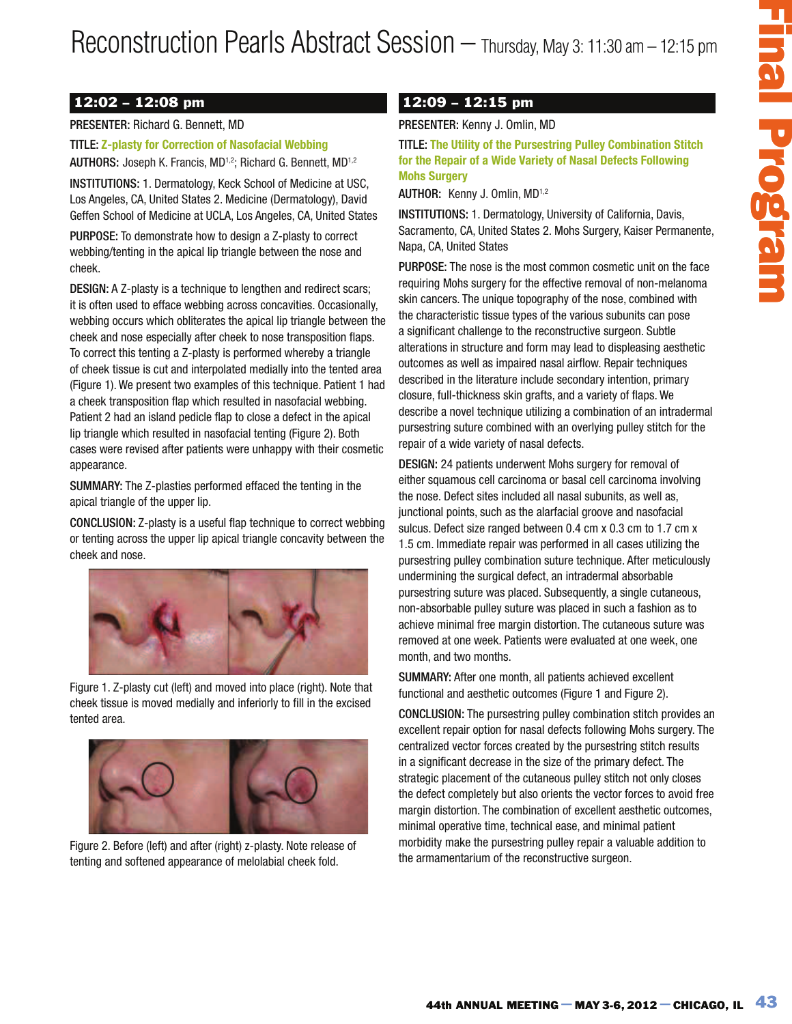## 12:02 – 12:08 pm

### PRESENTER: Richard G. Bennett, MD

TITLE: **Z-plasty for Correction of Nasofacial Webbing** AUTHORS: Joseph K. Francis, MD<sup>1,2</sup>; Richard G. Bennett, MD<sup>1,2</sup>

INSTITUTIONS: 1. Dermatology, Keck School of Medicine at USC, Los Angeles, CA, United States 2. Medicine (Dermatology), David Geffen School of Medicine at UCLA, Los Angeles, CA, United States

PURPOSE: To demonstrate how to design a Z-plasty to correct webbing/tenting in the apical lip triangle between the nose and cheek.

DESIGN: A Z-plasty is a technique to lengthen and redirect scars; it is often used to efface webbing across concavities. Occasionally, webbing occurs which obliterates the apical lip triangle between the cheek and nose especially after cheek to nose transposition flaps. To correct this tenting a Z-plasty is performed whereby a triangle of cheek tissue is cut and interpolated medially into the tented area (Figure 1). We present two examples of this technique. Patient 1 had a cheek transposition flap which resulted in nasofacial webbing. Patient 2 had an island pedicle flap to close a defect in the apical lip triangle which resulted in nasofacial tenting (Figure 2). Both cases were revised after patients were unhappy with their cosmetic appearance.

SUMMARY: The Z-plasties performed effaced the tenting in the apical triangle of the upper lip.

CONCLUSION: Z-plasty is a useful flap technique to correct webbing or tenting across the upper lip apical triangle concavity between the cheek and nose.



Figure 1. Z-plasty cut (left) and moved into place (right). Note that cheek tissue is moved medially and inferiorly to fill in the excised tented area.



Figure 2. Before (left) and after (right) z-plasty. Note release of tenting and softened appearance of melolabial cheek fold.

## 12:09 – 12:15 pm

#### PRESENTER: Kenny J. Omlin, MD

TITLE: **The Utility of the Pursestring Pulley Combination Stitch for the Repair of a Wide Variety of Nasal Defects Following Mohs Surgery**

AUTHOR:Kenny J. Omlin, MD1,2

INSTITUTIONS: 1. Dermatology, University of California, Davis, Sacramento, CA, United States 2. Mohs Surgery, Kaiser Permanente, Napa, CA, United States

PURPOSE: The nose is the most common cosmetic unit on the face requiring Mohs surgery for the effective removal of non-melanoma skin cancers. The unique topography of the nose, combined with the characteristic tissue types of the various subunits can pose a significant challenge to the reconstructive surgeon. Subtle alterations in structure and form may lead to displeasing aesthetic outcomes as well as impaired nasal airflow. Repair techniques described in the literature include secondary intention, primary closure, full-thickness skin grafts, and a variety of flaps. We describe a novel technique utilizing a combination of an intradermal pursestring suture combined with an overlying pulley stitch for the repair of a wide variety of nasal defects.

10 ON - Thrursday, May 3: 11:30 am - 12:15 pm<br>
10 OP - 12:15 pm<br>
10 OP - 12:15 Dm<br>
10:16 PM the Pursenting Pulley Combination Stitch<br>
The Littlitty of the Pursenting Pulley Combination Stitch<br>
Reflex Kenny J. Omini, MD<br>
2. DESIGN: 24 patients underwent Mohs surgery for removal of either squamous cell carcinoma or basal cell carcinoma involving the nose. Defect sites included all nasal subunits, as well as, junctional points, such as the alarfacial groove and nasofacial sulcus. Defect size ranged between 0.4 cm x 0.3 cm to 1.7 cm x 1.5 cm. Immediate repair was performed in all cases utilizing the pursestring pulley combination suture technique. After meticulously undermining the surgical defect, an intradermal absorbable pursestring suture was placed. Subsequently, a single cutaneous, non-absorbable pulley suture was placed in such a fashion as to achieve minimal free margin distortion. The cutaneous suture was removed at one week. Patients were evaluated at one week, one month, and two months.

SUMMARY: After one month, all patients achieved excellent functional and aesthetic outcomes (Figure 1 and Figure 2).

CONCLUSION: The pursestring pulley combination stitch provides an excellent repair option for nasal defects following Mohs surgery. The centralized vector forces created by the pursestring stitch results in a significant decrease in the size of the primary defect. The strategic placement of the cutaneous pulley stitch not only closes the defect completely but also orients the vector forces to avoid free margin distortion. The combination of excellent aesthetic outcomes, minimal operative time, technical ease, and minimal patient morbidity make the pursestring pulley repair a valuable addition to the armamentarium of the reconstructive surgeon.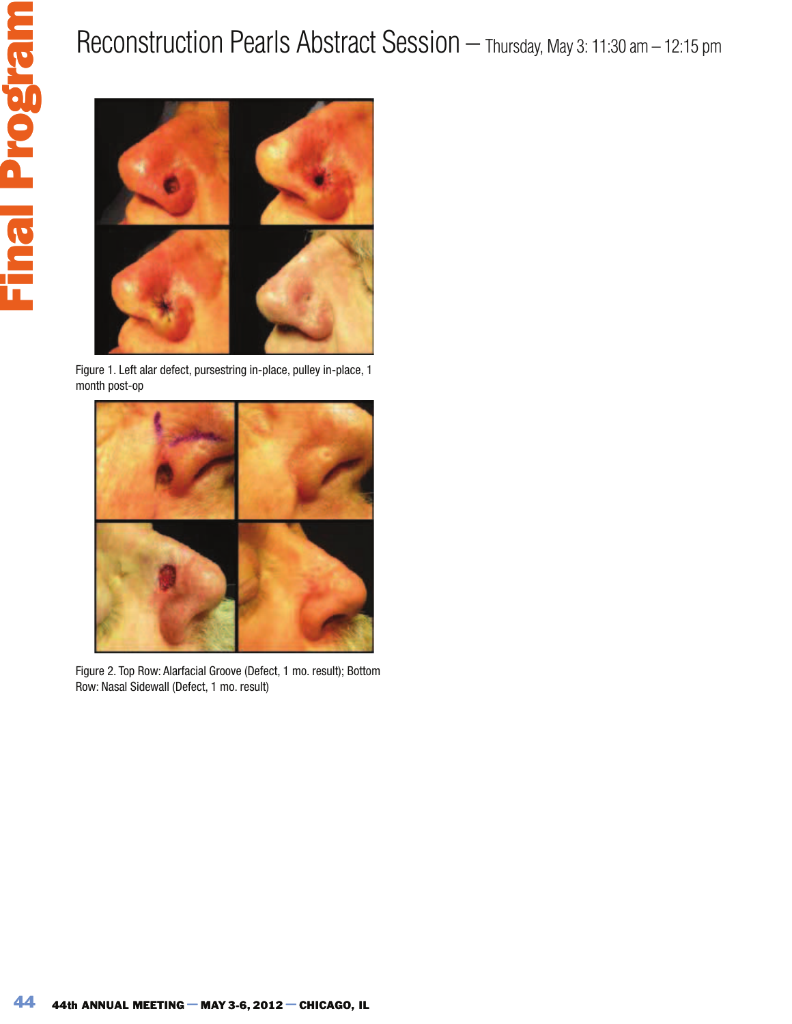# Reconstruction Pearls Abstract Session – Thursday, May 3: 11:30 am – 12:15 pm



Figure 1. Left alar defect, pursestring in-place, pulley in-place, 1 month post-op



Figure 2. Top Row: Alarfacial Groove (Defect, 1 mo. result); Bottom Row: Nasal Sidewall (Defect, 1 mo. result)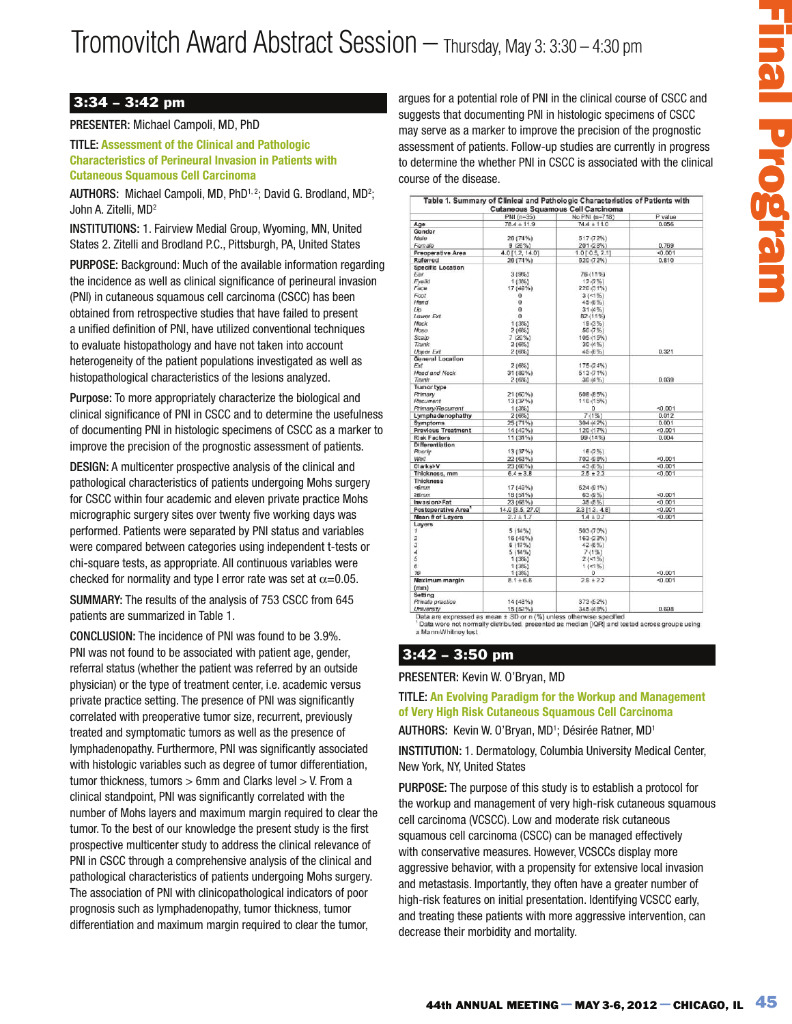## 3:34 – 3:42 pm

#### PRESENTER: Michael Campoli, MD, PhD

TITLE: **Assessment of the Clinical and Pathologic Characteristics of Perineural Invasion in Patients with Cutaneous Squamous Cell Carcinoma**

AUTHORS: Michael Campoli, MD, PhD<sup>1, 2</sup>; David G. Brodland, MD<sup>2</sup>; John A. Zitelli, MD<sup>2</sup>

INSTITUTIONS: 1. Fairview Medial Group, Wyoming, MN, United States 2. Zitelli and Brodland P.C., Pittsburgh, PA, United States

PURPOSE: Background: Much of the available information regarding the incidence as well as clinical significance of perineural invasion (PNI) in cutaneous squamous cell carcinoma (CSCC) has been obtained from retrospective studies that have failed to present a unified definition of PNI, have utilized conventional techniques to evaluate histopathology and have not taken into account heterogeneity of the patient populations investigated as well as histopathological characteristics of the lesions analyzed.

Purpose: To more appropriately characterize the biological and clinical significance of PNI in CSCC and to determine the usefulness of documenting PNI in histologic specimens of CSCC as a marker to improve the precision of the prognostic assessment of patients.

DESIGN: A multicenter prospective analysis of the clinical and pathological characteristics of patients undergoing Mohs surgery for CSCC within four academic and eleven private practice Mohs micrographic surgery sites over twenty five working days was performed. Patients were separated by PNI status and variables were compared between categories using independent t-tests or chi-square tests, as appropriate. All continuous variables were checked for normality and type I error rate was set at  $\alpha$ =0.05.

SUMMARY: The results of the analysis of 753 CSCC from 645 patients are summarized in Table 1.

CONCLUSION: The incidence of PNI was found to be 3.9%. PNI was not found to be associated with patient age, gender, referral status (whether the patient was referred by an outside physician) or the type of treatment center, i.e. academic versus private practice setting. The presence of PNI was significantly correlated with preoperative tumor size, recurrent, previously treated and symptomatic tumors as well as the presence of lymphadenopathy. Furthermore, PNI was significantly associated with histologic variables such as degree of tumor differentiation, tumor thickness, tumors > 6mm and Clarks level > V. From a clinical standpoint, PNI was significantly correlated with the number of Mohs layers and maximum margin required to clear the tumor. To the best of our knowledge the present study is the first prospective multicenter study to address the clinical relevance of PNI in CSCC through a comprehensive analysis of the clinical and pathological characteristics of patients undergoing Mohs surgery. The association of PNI with clinicopathological indicators of poor prognosis such as lymphadenopathy, tumor thickness, tumor differentiation and maximum margin required to clear the tumor,

| PNI (n=35)<br>No PNI (n=718)<br>P value<br>$78.4 \pm 11.9$<br>$74.4 \pm 11.0$<br>0.056<br>Gender<br>26 (74%)<br>517 (72%)<br>201 (28%)<br>Female<br>9(26%)<br>0.769<br>4.0 [1.2, 14.0]<br>Preoperative Area<br>$1.0$ [ 0.5, 2.1]<br>$-0.001$<br>Referred<br>26 (74%)<br>520 (72%)<br>0.810<br>Specific Location<br>76 (11%)<br>3(9%)<br>1(3%)<br>12 (2%)<br>220 (31%)<br>17 (49%)<br>o<br>$3(1\%)$<br>0<br>45 (6%)<br>0<br>31(4%)<br>$\bf{0}$<br>82 (11%)<br>Lower Ext<br>1(3%)<br>19(3%)<br>2(6%)<br>50 (7%)<br>7 (20%)<br>105 (15%)<br>2(6%)<br>30(4%)<br><b>Upper Ext</b><br>2(6%)<br>45 (6%)<br>0.321<br>General Location<br>175 (24%)<br>2(6%)<br>Head and Neck<br>31 (89%)<br>513 (71%)<br>30(4%)<br>0.039<br>2(6%)<br><b>Tumor type</b><br>608 (85%)<br>21 (60%)<br>Primary<br>Recurrent<br>13 (37%)<br>110 (15%)<br>Primary/Recurrent<br>1(3%)<br>0<br>$-0.001$<br>7(1%)<br>Lymphadenophathy<br>2(6%)<br>0.012<br>Symptoms<br>25 (71%)<br>304 (42%)<br>0.001<br>Previous Treatment<br>14 (40%)<br>120 (17%)<br>$-0.001$<br><b>Risk Factors</b><br>11 (31%)<br>99(14%<br>0.004<br>Differentiation<br>13(37%)<br>16(2%)<br>Poorly |
|-----------------------------------------------------------------------------------------------------------------------------------------------------------------------------------------------------------------------------------------------------------------------------------------------------------------------------------------------------------------------------------------------------------------------------------------------------------------------------------------------------------------------------------------------------------------------------------------------------------------------------------------------------------------------------------------------------------------------------------------------------------------------------------------------------------------------------------------------------------------------------------------------------------------------------------------------------------------------------------------------------------------------------------------------------------------------------------------------------------------------------------------|
|                                                                                                                                                                                                                                                                                                                                                                                                                                                                                                                                                                                                                                                                                                                                                                                                                                                                                                                                                                                                                                                                                                                                         |
|                                                                                                                                                                                                                                                                                                                                                                                                                                                                                                                                                                                                                                                                                                                                                                                                                                                                                                                                                                                                                                                                                                                                         |
|                                                                                                                                                                                                                                                                                                                                                                                                                                                                                                                                                                                                                                                                                                                                                                                                                                                                                                                                                                                                                                                                                                                                         |
|                                                                                                                                                                                                                                                                                                                                                                                                                                                                                                                                                                                                                                                                                                                                                                                                                                                                                                                                                                                                                                                                                                                                         |
|                                                                                                                                                                                                                                                                                                                                                                                                                                                                                                                                                                                                                                                                                                                                                                                                                                                                                                                                                                                                                                                                                                                                         |
|                                                                                                                                                                                                                                                                                                                                                                                                                                                                                                                                                                                                                                                                                                                                                                                                                                                                                                                                                                                                                                                                                                                                         |
|                                                                                                                                                                                                                                                                                                                                                                                                                                                                                                                                                                                                                                                                                                                                                                                                                                                                                                                                                                                                                                                                                                                                         |
|                                                                                                                                                                                                                                                                                                                                                                                                                                                                                                                                                                                                                                                                                                                                                                                                                                                                                                                                                                                                                                                                                                                                         |
|                                                                                                                                                                                                                                                                                                                                                                                                                                                                                                                                                                                                                                                                                                                                                                                                                                                                                                                                                                                                                                                                                                                                         |
|                                                                                                                                                                                                                                                                                                                                                                                                                                                                                                                                                                                                                                                                                                                                                                                                                                                                                                                                                                                                                                                                                                                                         |
|                                                                                                                                                                                                                                                                                                                                                                                                                                                                                                                                                                                                                                                                                                                                                                                                                                                                                                                                                                                                                                                                                                                                         |
|                                                                                                                                                                                                                                                                                                                                                                                                                                                                                                                                                                                                                                                                                                                                                                                                                                                                                                                                                                                                                                                                                                                                         |
|                                                                                                                                                                                                                                                                                                                                                                                                                                                                                                                                                                                                                                                                                                                                                                                                                                                                                                                                                                                                                                                                                                                                         |
|                                                                                                                                                                                                                                                                                                                                                                                                                                                                                                                                                                                                                                                                                                                                                                                                                                                                                                                                                                                                                                                                                                                                         |
|                                                                                                                                                                                                                                                                                                                                                                                                                                                                                                                                                                                                                                                                                                                                                                                                                                                                                                                                                                                                                                                                                                                                         |
| 22 (63%)<br>702 (98%)<br>$-0.001$                                                                                                                                                                                                                                                                                                                                                                                                                                                                                                                                                                                                                                                                                                                                                                                                                                                                                                                                                                                                                                                                                                       |
| Clarks>V<br>23 (66%)<br>43 (6%)<br>$-0.001$<br>Thickness, mm<br>$6.4 \pm 3.8$<br>$2.5 \pm 2.3$<br>$-0.001$                                                                                                                                                                                                                                                                                                                                                                                                                                                                                                                                                                                                                                                                                                                                                                                                                                                                                                                                                                                                                              |
| <b>Thickness</b><br>624 (91%)<br>17 (49%)                                                                                                                                                                                                                                                                                                                                                                                                                                                                                                                                                                                                                                                                                                                                                                                                                                                                                                                                                                                                                                                                                               |
| 26mm<br>18 (51%)<br>63 (9%)<br>$-0.001$<br>Invasion>Fat<br>23 (66%)<br>35 (5%)<br>$-0.001$                                                                                                                                                                                                                                                                                                                                                                                                                                                                                                                                                                                                                                                                                                                                                                                                                                                                                                                                                                                                                                              |
| Postoperative Area <sup>*</sup><br>14.0 [3.5, 27.0]<br>$2.3$ [1.3, 4.8]<br>$-0.001$<br>Mean # of Layers<br>$2.7 \pm 1.7$<br>$1.4 \pm 0.7$<br>40.001                                                                                                                                                                                                                                                                                                                                                                                                                                                                                                                                                                                                                                                                                                                                                                                                                                                                                                                                                                                     |
| Layers<br>5(14%)<br>503 (70%)                                                                                                                                                                                                                                                                                                                                                                                                                                                                                                                                                                                                                                                                                                                                                                                                                                                                                                                                                                                                                                                                                                           |
| 16 (46%)<br>163 (23%)<br>6(17%)<br>42 (6%)                                                                                                                                                                                                                                                                                                                                                                                                                                                                                                                                                                                                                                                                                                                                                                                                                                                                                                                                                                                                                                                                                              |
| 5(14%)<br>7(1%)<br>1(3%)<br>2(15)                                                                                                                                                                                                                                                                                                                                                                                                                                                                                                                                                                                                                                                                                                                                                                                                                                                                                                                                                                                                                                                                                                       |
| 1(3%)<br>$1($ < $1\%$ )<br>$-0.001$<br>$\circ$<br>1(3%)                                                                                                                                                                                                                                                                                                                                                                                                                                                                                                                                                                                                                                                                                                                                                                                                                                                                                                                                                                                                                                                                                 |
| $2.9 + 2.2$<br>Maximum margin<br>$81 + 66$<br>< 0.001                                                                                                                                                                                                                                                                                                                                                                                                                                                                                                                                                                                                                                                                                                                                                                                                                                                                                                                                                                                                                                                                                   |
| Setting<br>Private practice<br>14 (48%)<br>373 (52%)<br>15 (52%)<br>University<br>345 (48%)<br>0.698                                                                                                                                                                                                                                                                                                                                                                                                                                                                                                                                                                                                                                                                                                                                                                                                                                                                                                                                                                                                                                    |
| a Mann-Whitney test<br>3:42 – 3:50 pm<br>RESENTER: Kevin W. O'Bryan, MD<br><b>TLE: An Evolving Paradigm for the Workup and Management</b><br>f Very High Risk Cutaneous Squamous Cell Carcinoma<br>UTHORS: Kevin W. O'Bryan, MD <sup>1</sup> ; Désirée Ratner, MD <sup>1</sup>                                                                                                                                                                                                                                                                                                                                                                                                                                                                                                                                                                                                                                                                                                                                                                                                                                                          |
|                                                                                                                                                                                                                                                                                                                                                                                                                                                                                                                                                                                                                                                                                                                                                                                                                                                                                                                                                                                                                                                                                                                                         |
| <b>ISTITUTION:</b> 1. Dermatology, Columbia University Medical Center,<br>ew York, NY, United States<br>URPOSE: The purpose of this study is to establish a protocol for<br>e workup and management of very high-risk cutaneous squamous<br>ell carcinoma (VCSCC). Low and moderate risk cutaneous<br>quamous cell carcinoma (CSCC) can be managed effectively<br>ith conservative measures. However, VCSCCs display more<br>ggressive behavior, with a propensity for extensive local invasion<br>nd metastasis. Importantly, they often have a greater number of                                                                                                                                                                                                                                                                                                                                                                                                                                                                                                                                                                      |

## $3:42 - 3:50$  pm

#### PRESENTER: Kevin W. O'Bryan, MD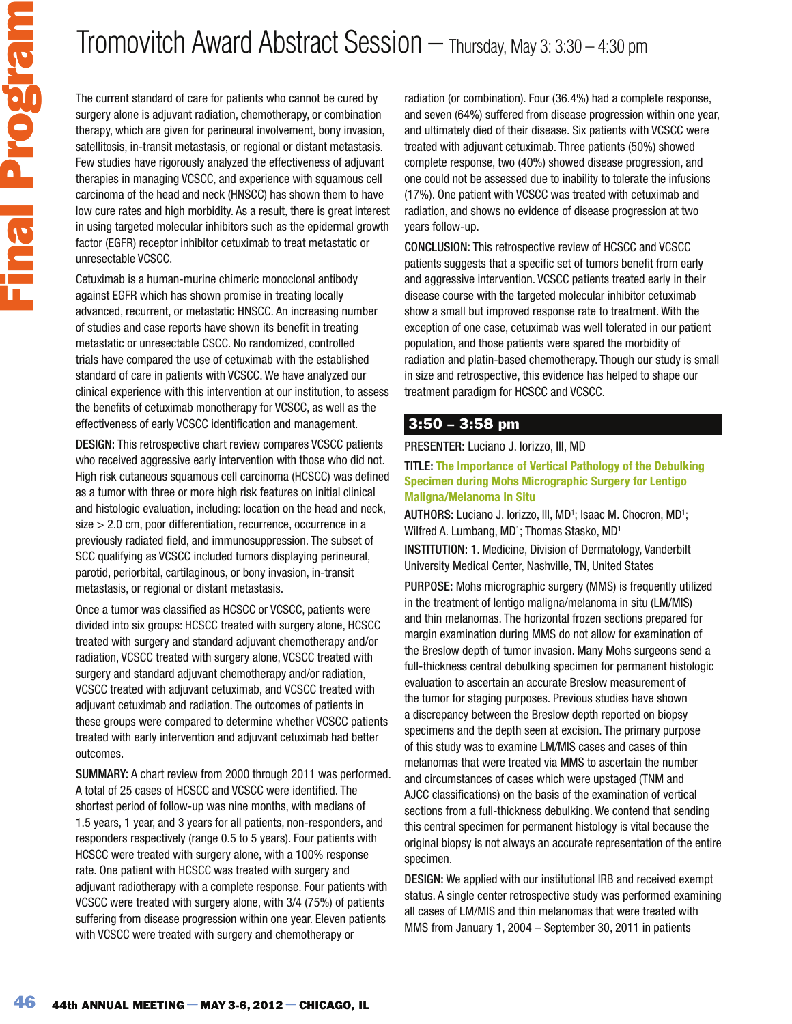The current standard of care for patients who cannot be cured by surgery alone is adjuvant radiation, chemotherapy, or combination therapy, which are given for perineural involvement, bony invasion, satellitosis, in-transit metastasis, or regional or distant metastasis. Few studies have rigorously analyzed the effectiveness of adjuvant therapies in managing VCSCC, and experience with squamous cell carcinoma of the head and neck (HNSCC) has shown them to have low cure rates and high morbidity. As a result, there is great interest in using targeted molecular inhibitors such as the epidermal growth factor (EGFR) receptor inhibitor cetuximab to treat metastatic or unresectable VCSCC.

Cetuximab is a human-murine chimeric monoclonal antibody against EGFR which has shown promise in treating locally advanced, recurrent, or metastatic HNSCC. An increasing number of studies and case reports have shown its benefit in treating metastatic or unresectable CSCC. No randomized, controlled trials have compared the use of cetuximab with the established standard of care in patients with VCSCC. We have analyzed our clinical experience with this intervention at our institution, to assess the benefits of cetuximab monotherapy for VCSCC, as well as the effectiveness of early VCSCC identification and management.

DESIGN: This retrospective chart review compares VCSCC patients who received aggressive early intervention with those who did not. High risk cutaneous squamous cell carcinoma (HCSCC) was defined as a tumor with three or more high risk features on initial clinical and histologic evaluation, including: location on the head and neck, size > 2.0 cm, poor differentiation, recurrence, occurrence in a previously radiated field, and immunosuppression. The subset of SCC qualifying as VCSCC included tumors displaying perineural, parotid, periorbital, cartilaginous, or bony invasion, in-transit metastasis, or regional or distant metastasis.

Once a tumor was classified as HCSCC or VCSCC, patients were divided into six groups: HCSCC treated with surgery alone, HCSCC treated with surgery and standard adjuvant chemotherapy and/or radiation, VCSCC treated with surgery alone, VCSCC treated with surgery and standard adjuvant chemotherapy and/or radiation, VCSCC treated with adjuvant cetuximab, and VCSCC treated with adjuvant cetuximab and radiation. The outcomes of patients in these groups were compared to determine whether VCSCC patients treated with early intervention and adjuvant cetuximab had better outcomes.

SUMMARY: A chart review from 2000 through 2011 was performed. A total of 25 cases of HCSCC and VCSCC were identified. The shortest period of follow-up was nine months, with medians of 1.5 years, 1 year, and 3 years for all patients, non-responders, and responders respectively (range 0.5 to 5 years). Four patients with HCSCC were treated with surgery alone, with a 100% response rate. One patient with HCSCC was treated with surgery and adjuvant radiotherapy with a complete response. Four patients with VCSCC were treated with surgery alone, with 3/4 (75%) of patients suffering from disease progression within one year. Eleven patients with VCSCC were treated with surgery and chemotherapy or

radiation (or combination). Four (36.4%) had a complete response, and seven (64%) suffered from disease progression within one year, and ultimately died of their disease. Six patients with VCSCC were treated with adjuvant cetuximab. Three patients (50%) showed complete response, two (40%) showed disease progression, and one could not be assessed due to inability to tolerate the infusions (17%). One patient with VCSCC was treated with cetuximab and radiation, and shows no evidence of disease progression at two years follow-up.

CONCLUSION: This retrospective review of HCSCC and VCSCC patients suggests that a specific set of tumors benefit from early and aggressive intervention. VCSCC patients treated early in their disease course with the targeted molecular inhibitor cetuximab show a small but improved response rate to treatment. With the exception of one case, cetuximab was well tolerated in our patient population, and those patients were spared the morbidity of radiation and platin-based chemotherapy. Though our study is small in size and retrospective, this evidence has helped to shape our treatment paradigm for HCSCC and VCSCC.

### 3:50 – 3:58 pm

PRESENTER: Luciano J. Iorizzo, III, MD

#### TITLE: **The Importance of Vertical Pathology of the Debulking Specimen during Mohs Micrographic Surgery for Lentigo Maligna/Melanoma In Situ**

AUTHORS: Luciano J. Iorizzo, III, MD<sup>1</sup>; Isaac M. Chocron, MD<sup>1</sup>; Wilfred A. Lumbang, MD<sup>1</sup>; Thomas Stasko, MD<sup>1</sup>

INSTITUTION: 1. Medicine, Division of Dermatology, Vanderbilt University Medical Center, Nashville, TN, United States

PURPOSE: Mohs micrographic surgery (MMS) is frequently utilized in the treatment of lentigo maligna/melanoma in situ (LM/MIS) and thin melanomas. The horizontal frozen sections prepared for margin examination during MMS do not allow for examination of the Breslow depth of tumor invasion. Many Mohs surgeons send a full-thickness central debulking specimen for permanent histologic evaluation to ascertain an accurate Breslow measurement of the tumor for staging purposes. Previous studies have shown a discrepancy between the Breslow depth reported on biopsy specimens and the depth seen at excision. The primary purpose of this study was to examine LM/MIS cases and cases of thin melanomas that were treated via MMS to ascertain the number and circumstances of cases which were upstaged (TNM and AJCC classifications) on the basis of the examination of vertical sections from a full-thickness debulking. We contend that sending this central specimen for permanent histology is vital because the original biopsy is not always an accurate representation of the entire specimen.

DESIGN: We applied with our institutional IRB and received exempt status. A single center retrospective study was performed examining all cases of LM/MIS and thin melanomas that were treated with MMS from January 1, 2004 – September 30, 2011 in patients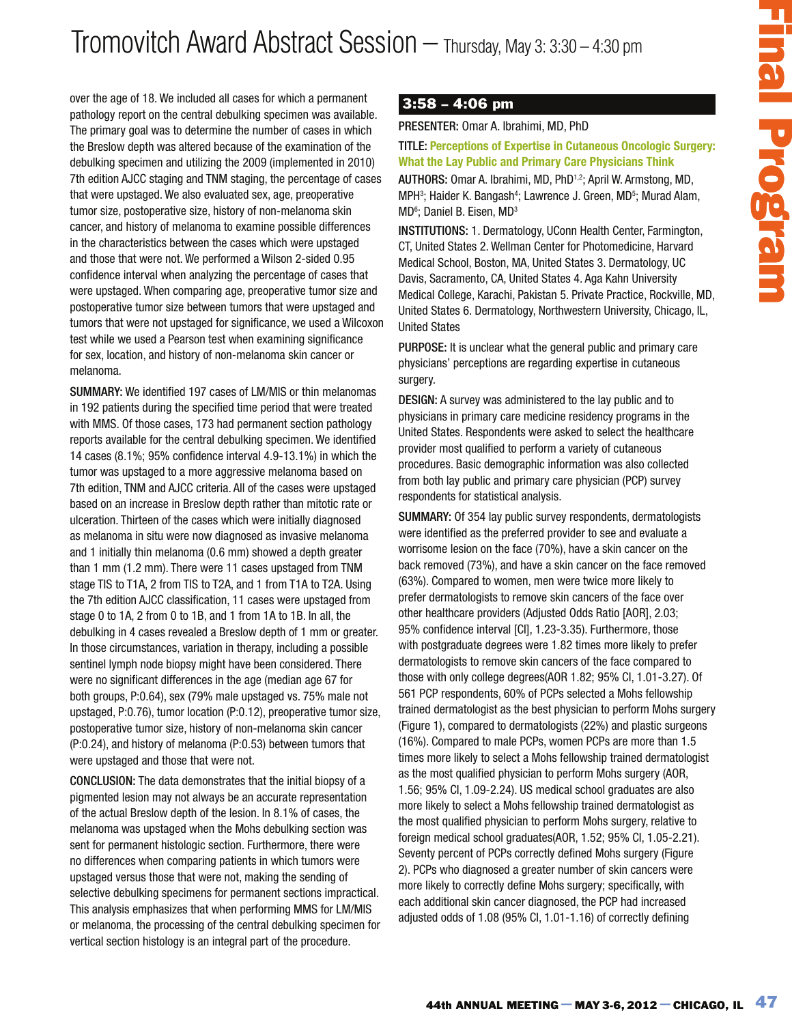over the age of 18. We included all cases for which a permanent pathology report on the central debulking specimen was available. The primary goal was to determine the number of cases in which the Breslow depth was altered because of the examination of the debulking specimen and utilizing the 2009 (implemented in 2010) 7th edition AJCC staging and TNM staging, the percentage of cases that were upstaged. We also evaluated sex, age, preoperative tumor size, postoperative size, history of non-melanoma skin cancer, and history of melanoma to examine possible differences in the characteristics between the cases which were upstaged and those that were not. We performed a Wilson 2-sided 0.95 confidence interval when analyzing the percentage of cases that were upstaged. When comparing age, preoperative tumor size and postoperative tumor size between tumors that were upstaged and tumors that were not upstaged for significance, we used a Wilcoxon test while we used a Pearson test when examining significance for sex, location, and history of non-melanoma skin cancer or melanoma.

SUMMARY: We identified 197 cases of LM/MIS or thin melanomas in 192 patients during the specified time period that were treated with MMS. Of those cases, 173 had permanent section pathology reports available for the central debulking specimen. We identified 14 cases (8.1%; 95% confidence interval 4.9-13.1%) in which the tumor was upstaged to a more aggressive melanoma based on 7th edition, TNM and AJCC criteria. All of the cases were upstaged based on an increase in Breslow depth rather than mitotic rate or ulceration. Thirteen of the cases which were initially diagnosed as melanoma in situ were now diagnosed as invasive melanoma and 1 initially thin melanoma (0.6 mm) showed a depth greater than 1 mm (1.2 mm). There were 11 cases upstaged from TNM stage TIS to T1A, 2 from TIS to T2A, and 1 from T1A to T2A. Using the 7th edition AJCC classification, 11 cases were upstaged from stage 0 to 1A, 2 from 0 to 1B, and 1 from 1A to 1B. In all, the debulking in 4 cases revealed a Breslow depth of 1 mm or greater. In those circumstances, variation in therapy, including a possible sentinel lymph node biopsy might have been considered. There were no significant differences in the age (median age 67 for both groups, P:0.64), sex (79% male upstaged vs. 75% male not upstaged, P:0.76), tumor location (P:0.12), preoperative tumor size, postoperative tumor size, history of non-melanoma skin cancer (P:0.24), and history of melanoma (P:0.53) between tumors that were upstaged and those that were not.

CONCLUSION: The data demonstrates that the initial biopsy of a pigmented lesion may not always be an accurate representation of the actual Breslow depth of the lesion. In 8.1% of cases, the melanoma was upstaged when the Mohs debulking section was sent for permanent histologic section. Furthermore, there were no differences when comparing patients in which tumors were upstaged versus those that were not, making the sending of selective debulking specimens for permanent sections impractical. This analysis emphasizes that when performing MMS for LM/MIS or melanoma, the processing of the central debulking specimen for vertical section histology is an integral part of the procedure.

## 3:58 – 4:06 pm

PRESENTER: Omar A. Ibrahimi, MD, PhD

### TITLE: **Perceptions of Expertise in Cutaneous Oncologic Surgery: What the Lay Public and Primary Care Physicians Think**

AUTHORS: Omar A. Ibrahimi, MD, PhD1,2; April W. Armstong, MD, MPH<sup>3</sup>; Haider K. Bangash<sup>4</sup>; Lawrence J. Green, MD<sup>5</sup>; Murad Alam, MD<sup>6</sup>; Daniel B. Eisen, MD<sup>3</sup>

INSTITUTIONS: 1. Dermatology, UConn Health Center, Farmington, CT, United States 2. Wellman Center for Photomedicine, Harvard Medical School, Boston, MA, United States 3. Dermatology, UC Davis, Sacramento, CA, United States 4. Aga Kahn University Medical College, Karachi, Pakistan 5. Private Practice, Rockville, MD, United States 6. Dermatology, Northwestern University, Chicago, IL, United States

PURPOSE: It is unclear what the general public and primary care physicians' perceptions are regarding expertise in cutaneous surgery.

DESIGN: A survey was administered to the lay public and to physicians in primary care medicine residency programs in the United States. Respondents were asked to select the healthcare provider most qualified to perform a variety of cutaneous procedures. Basic demographic information was also collected from both lay public and primary care physician (PCP) survey respondents for statistical analysis.

 $-$  Thursday, May 3: 3:300 – 4:30 pm<br> **EFFER:** omar A. Itarahimi, MD. PhD<br> **EFFER:** omar A. Itarahimi, MD. PhD<br>
Perceptions of Experiment MD. PhD<br>
Perceptions of Experiment MD. PhD<br>
Perceptions of Experiment MD. PhD<sup>+</sup> SUMMARY: Of 354 lay public survey respondents, dermatologists were identified as the preferred provider to see and evaluate a worrisome lesion on the face (70%), have a skin cancer on the back removed (73%), and have a skin cancer on the face removed (63%). Compared to women, men were twice more likely to prefer dermatologists to remove skin cancers of the face over other healthcare providers (Adjusted Odds Ratio [AOR], 2.03; 95% confidence interval [CI], 1.23-3.35). Furthermore, those with postgraduate degrees were 1.82 times more likely to prefer dermatologists to remove skin cancers of the face compared to those with only college degrees(AOR 1.82; 95% CI, 1.01-3.27). Of 561 PCP respondents, 60% of PCPs selected a Mohs fellowship trained dermatologist as the best physician to perform Mohs surgery (Figure 1), compared to dermatologists (22%) and plastic surgeons (16%). Compared to male PCPs, women PCPs are more than 1.5 times more likely to select a Mohs fellowship trained dermatologist as the most qualified physician to perform Mohs surgery (AOR, 1.56; 95% CI, 1.09-2.24). US medical school graduates are also more likely to select a Mohs fellowship trained dermatologist as the most qualified physician to perform Mohs surgery, relative to foreign medical school graduates(AOR, 1.52; 95% CI, 1.05-2.21). Seventy percent of PCPs correctly defined Mohs surgery (Figure 2). PCPs who diagnosed a greater number of skin cancers were more likely to correctly define Mohs surgery; specifically, with each additional skin cancer diagnosed, the PCP had increased adjusted odds of 1.08 (95% CI, 1.01-1.16) of correctly defining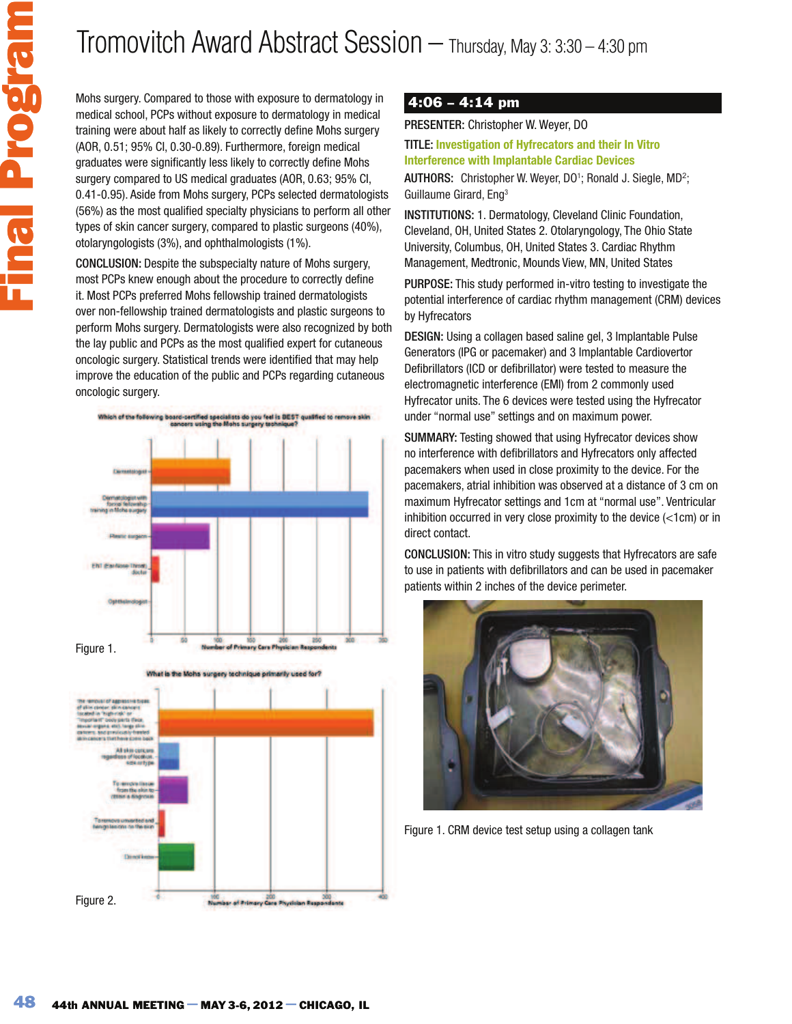Mohs surgery. Compared to those with exposure to dermatology in medical school, PCPs without exposure to dermatology in medical training were about half as likely to correctly define Mohs surgery (AOR, 0.51; 95% CI, 0.30-0.89). Furthermore, foreign medical graduates were significantly less likely to correctly define Mohs surgery compared to US medical graduates (AOR, 0.63; 95% CI, 0.41-0.95). Aside from Mohs surgery, PCPs selected dermatologists (56%) as the most qualified specialty physicians to perform all other types of skin cancer surgery, compared to plastic surgeons (40%), otolaryngologists (3%), and ophthalmologists (1%).

CONCLUSION: Despite the subspecialty nature of Mohs surgery, most PCPs knew enough about the procedure to correctly define it. Most PCPs preferred Mohs fellowship trained dermatologists over non-fellowship trained dermatologists and plastic surgeons to perform Mohs surgery. Dermatologists were also recognized by both the lay public and PCPs as the most qualified expert for cutaneous oncologic surgery. Statistical trends were identified that may help improve the education of the public and PCPs regarding cutaneous oncologic surgery.







### 4:06 – 4:14 pm

PRESENTER: Christopher W. Weyer, DO

TITLE: **Investigation of Hyfrecators and their In Vitro Interference with Implantable Cardiac Devices**

AUTHORS: Christopher W. Weyer, DO<sup>1</sup>; Ronald J. Siegle, MD<sup>2</sup>; Guillaume Girard, Eng<sup>3</sup>

INSTITUTIONS: 1. Dermatology, Cleveland Clinic Foundation, Cleveland, OH, United States 2. Otolaryngology, The Ohio State University, Columbus, OH, United States 3. Cardiac Rhythm Management, Medtronic, Mounds View, MN, United States

PURPOSE: This study performed in-vitro testing to investigate the potential interference of cardiac rhythm management (CRM) devices by Hyfrecators

DESIGN: Using a collagen based saline gel, 3 Implantable Pulse Generators (IPG or pacemaker) and 3 Implantable Cardiovertor Defibrillators (ICD or defibrillator) were tested to measure the electromagnetic interference (EMI) from 2 commonly used Hyfrecator units. The 6 devices were tested using the Hyfrecator under "normal use" settings and on maximum power.

SUMMARY: Testing showed that using Hyfrecator devices show no interference with defibrillators and Hyfrecators only affected pacemakers when used in close proximity to the device. For the pacemakers, atrial inhibition was observed at a distance of 3 cm on maximum Hyfrecator settings and 1cm at "normal use". Ventricular inhibition occurred in very close proximity to the device (<1cm) or in direct contact.

CONCLUSION: This in vitro study suggests that Hyfrecators are safe to use in patients with defibrillators and can be used in pacemaker patients within 2 inches of the device perimeter.



Figure 1. CRM device test setup using a collagen tank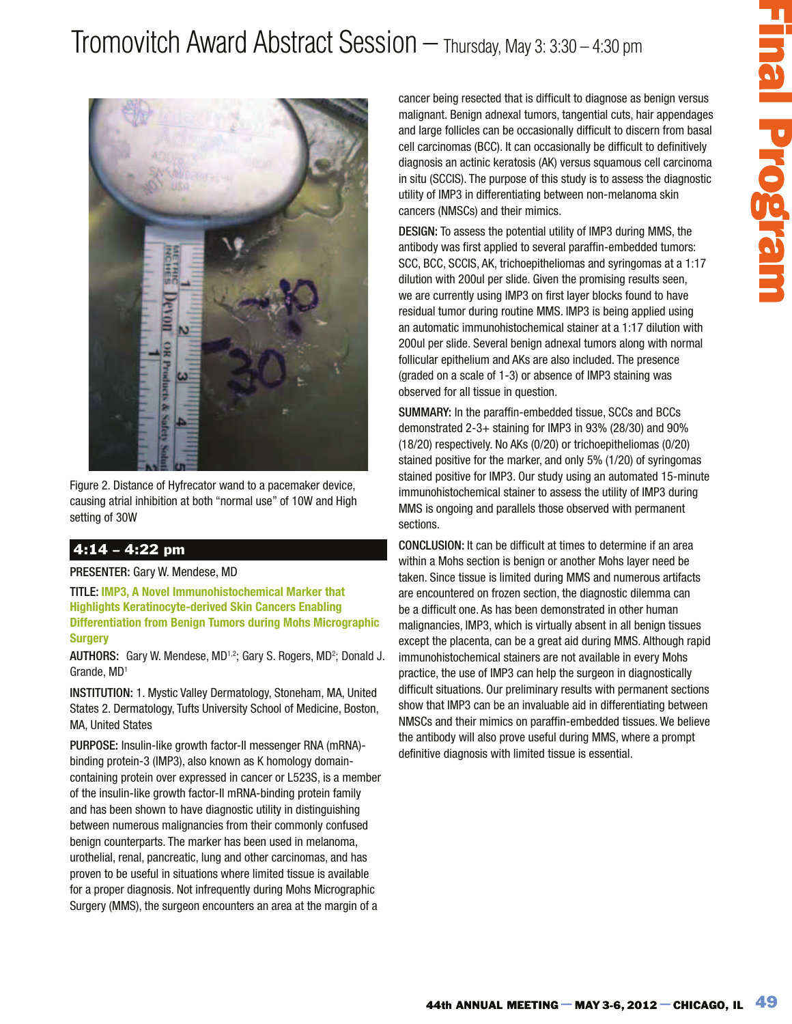

Figure 2. Distance of Hyfrecator wand to a pacemaker device, causing atrial inhibition at both "normal use" of 10W and High setting of 30W

## 4:14 – 4:22 pm

PRESENTER: Gary W. Mendese, MD

TITLE: **IMP3, A Novel Immunohistochemical Marker that Highlights Keratinocyte-derived Skin Cancers Enabling Differentiation from Benign Tumors during Mohs Micrographic Surgery**

AUTHORS: Gary W. Mendese, MD<sup>1,2</sup>; Gary S. Rogers, MD<sup>2</sup>; Donald J. Grande, MD<sup>1</sup>

INSTITUTION: 1. Mystic Valley Dermatology, Stoneham, MA, United States 2. Dermatology, Tufts University School of Medicine, Boston, MA, United States

PURPOSE: Insulin-like growth factor-II messenger RNA (mRNA) binding protein-3 (IMP3), also known as K homology domaincontaining protein over expressed in cancer or L523S, is a member of the insulin-like growth factor-II mRNA-binding protein family and has been shown to have diagnostic utility in distinguishing between numerous malignancies from their commonly confused benign counterparts. The marker has been used in melanoma, urothelial, renal, pancreatic, lung and other carcinomas, and has proven to be useful in situations where limited tissue is available for a proper diagnosis. Not infrequently during Mohs Micrographic Surgery (MMS), the surgeon encounters an area at the margin of a

cancer being resected that is difficult to diagnose as benign versus malignant. Benign adnexal tumors, tangential cuts, hair appendages and large follicles can be occasionally difficult to discern from basal cell carcinomas (BCC). It can occasionally be difficult to definitively diagnosis an actinic keratosis (AK) versus squamous cell carcinoma in situ (SCCIS). The purpose of this study is to assess the diagnostic utility of IMP3 in differentiating between non-melanoma skin cancers (NMSCs) and their mimics.

DESIGN: To assess the potential utility of IMP3 during MMS, the antibody was first applied to several paraffin-embedded tumors: SCC, BCC, SCCIS, AK, trichoepitheliomas and syringomas at a 1:17 dilution with 200ul per slide. Given the promising results seen, we are currently using IMP3 on first layer blocks found to have residual tumor during routine MMS. IMP3 is being applied using an automatic immunohistochemical stainer at a 1:17 dilution with 200ul per slide. Several benign adnexal tumors along with normal follicular epithelium and AKs are also included. The presence (graded on a scale of 1-3) or absence of IMP3 staining was observed for all tissue in question.

SUMMARY: In the paraffin-embedded tissue, SCCs and BCCs demonstrated 2-3+ staining for IMP3 in 93% (28/30) and 90% (18/20) respectively. No AKs (0/20) or trichoepitheliomas (0/20) stained positive for the marker, and only 5% (1/20) of syringomas stained positive for IMP3. Our study using an automated 15-minute immunohistochemical stainer to assess the utility of IMP3 during MMS is ongoing and parallels those observed with permanent sections.

— Thursday, May 3: 3:300 – 4:30 pm<br>
theing researched that is difficult to disgnose as benign versus<br>
tun tenange ashocal tunners, surgented cots, has appendages<br>
tun tenange ashocal tunners, surgented cots, has appenda CONCLUSION: It can be difficult at times to determine if an area within a Mohs section is benign or another Mohs layer need be taken. Since tissue is limited during MMS and numerous artifacts are encountered on frozen section, the diagnostic dilemma can be a difficult one. As has been demonstrated in other human malignancies, IMP3, which is virtually absent in all benign tissues except the placenta, can be a great aid during MMS. Although rapid immunohistochemical stainers are not available in every Mohs practice, the use of IMP3 can help the surgeon in diagnostically difficult situations. Our preliminary results with permanent sections show that IMP3 can be an invaluable aid in differentiating between NMSCs and their mimics on paraffin-embedded tissues. We believe the antibody will also prove useful during MMS, where a prompt definitive diagnosis with limited tissue is essential.